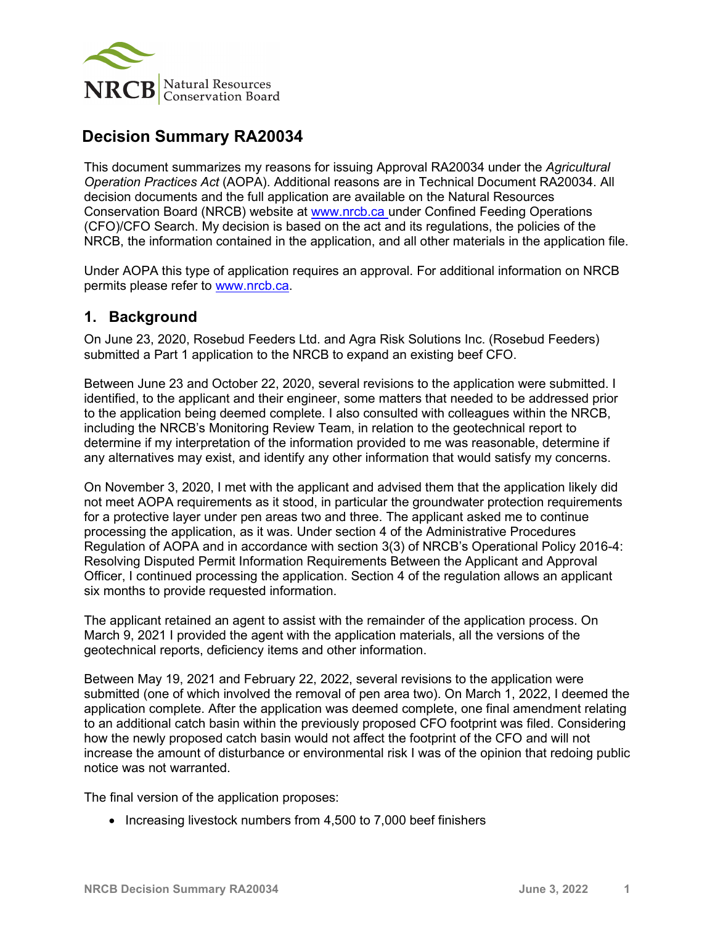

# **Decision Summary RA20034**

This document summarizes my reasons for issuing Approval RA20034 under the *Agricultural Operation Practices Act* (AOPA). Additional reasons are in Technical Document RA20034. All decision documents and the full application are available on the Natural Resources Conservation Board (NRCB) website at [www.nrcb.ca](http://www.nrcb.ca/) under Confined Feeding Operations (CFO)/CFO Search. My decision is based on the act and its regulations, the policies of the NRCB, the information contained in the application, and all other materials in the application file.

Under AOPA this type of application requires an approval. For additional information on NRCB permits please refer to [www.nrcb.ca.](file://NRCB-File01/nosync/Application%20Form%20Review/Decision%20Summary%20Template%2027%20April%202020/www.nrcb.ca)

## **1. Background**

On June 23, 2020, Rosebud Feeders Ltd. and Agra Risk Solutions Inc. (Rosebud Feeders) submitted a Part 1 application to the NRCB to expand an existing beef CFO.

Between June 23 and October 22, 2020, several revisions to the application were submitted. I identified, to the applicant and their engineer, some matters that needed to be addressed prior to the application being deemed complete. I also consulted with colleagues within the NRCB, including the NRCB's Monitoring Review Team, in relation to the geotechnical report to determine if my interpretation of the information provided to me was reasonable, determine if any alternatives may exist, and identify any other information that would satisfy my concerns.

On November 3, 2020, I met with the applicant and advised them that the application likely did not meet AOPA requirements as it stood, in particular the groundwater protection requirements for a protective layer under pen areas two and three. The applicant asked me to continue processing the application, as it was. Under section 4 of the Administrative Procedures Regulation of AOPA and in accordance with section 3(3) of NRCB's Operational Policy 2016-4: Resolving Disputed Permit Information Requirements Between the Applicant and Approval Officer, I continued processing the application. Section 4 of the regulation allows an applicant six months to provide requested information.

The applicant retained an agent to assist with the remainder of the application process. On March 9, 2021 I provided the agent with the application materials, all the versions of the geotechnical reports, deficiency items and other information.

Between May 19, 2021 and February 22, 2022, several revisions to the application were submitted (one of which involved the removal of pen area two). On March 1, 2022, I deemed the application complete. After the application was deemed complete, one final amendment relating to an additional catch basin within the previously proposed CFO footprint was filed. Considering how the newly proposed catch basin would not affect the footprint of the CFO and will not increase the amount of disturbance or environmental risk I was of the opinion that redoing public notice was not warranted.

The final version of the application proposes:

• Increasing livestock numbers from 4,500 to 7,000 beef finishers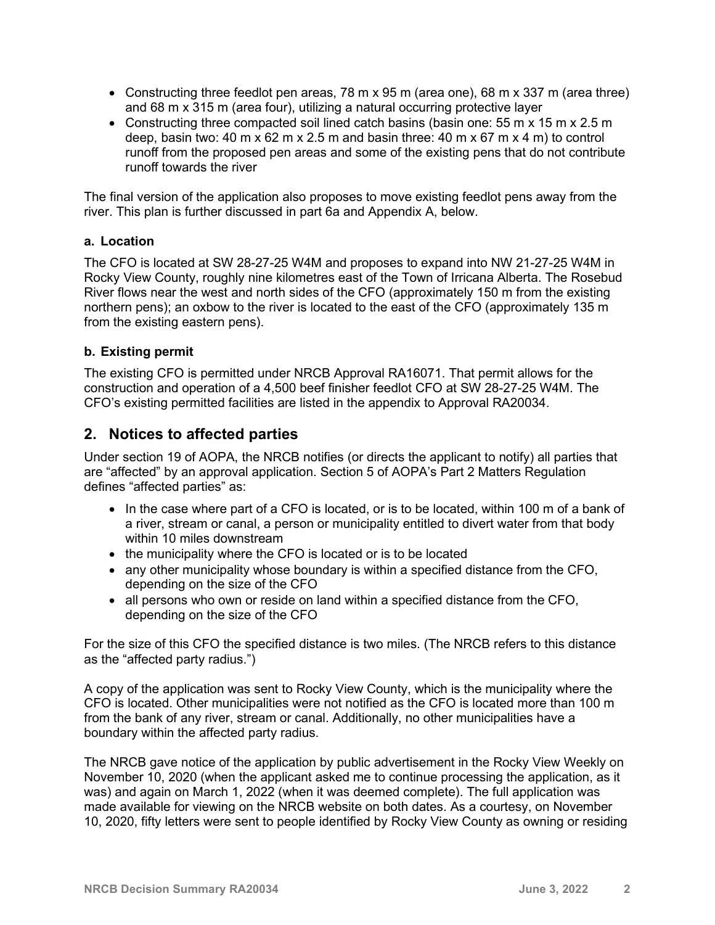- Constructing three feedlot pen areas, 78 m x 95 m (area one), 68 m x 337 m (area three) and 68 m x 315 m (area four), utilizing a natural occurring protective layer
- Constructing three compacted soil lined catch basins (basin one: 55 m x 15 m x 2.5 m deep, basin two: 40 m x 62 m x 2.5 m and basin three: 40 m x 67 m x 4 m) to control runoff from the proposed pen areas and some of the existing pens that do not contribute runoff towards the river

The final version of the application also proposes to move existing feedlot pens away from the river. This plan is further discussed in part 6a and Appendix A, below.

#### **a. Location**

The CFO is located at SW 28-27-25 W4M and proposes to expand into NW 21-27-25 W4M in Rocky View County, roughly nine kilometres east of the Town of Irricana Alberta. The Rosebud River flows near the west and north sides of the CFO (approximately 150 m from the existing northern pens); an oxbow to the river is located to the east of the CFO (approximately 135 m from the existing eastern pens).

#### **b. Existing permit**

The existing CFO is permitted under NRCB Approval RA16071. That permit allows for the construction and operation of a 4,500 beef finisher feedlot CFO at SW 28-27-25 W4M. The CFO's existing permitted facilities are listed in the appendix to Approval RA20034.

### **2. Notices to affected parties**

Under section 19 of AOPA, the NRCB notifies (or directs the applicant to notify) all parties that are "affected" by an approval application. Section 5 of AOPA's Part 2 Matters Regulation defines "affected parties" as:

- In the case where part of a CFO is located, or is to be located, within 100 m of a bank of a river, stream or canal, a person or municipality entitled to divert water from that body within 10 miles downstream
- the municipality where the CFO is located or is to be located
- any other municipality whose boundary is within a specified distance from the CFO, depending on the size of the CFO
- all persons who own or reside on land within a specified distance from the CFO, depending on the size of the CFO

For the size of this CFO the specified distance is two miles. (The NRCB refers to this distance as the "affected party radius.")

A copy of the application was sent to Rocky View County, which is the municipality where the CFO is located. Other municipalities were not notified as the CFO is located more than 100 m from the bank of any river, stream or canal. Additionally, no other municipalities have a boundary within the affected party radius.

The NRCB gave notice of the application by public advertisement in the Rocky View Weekly on November 10, 2020 (when the applicant asked me to continue processing the application, as it was) and again on March 1, 2022 (when it was deemed complete). The full application was made available for viewing on the NRCB website on both dates. As a courtesy, on November 10, 2020, fifty letters were sent to people identified by Rocky View County as owning or residing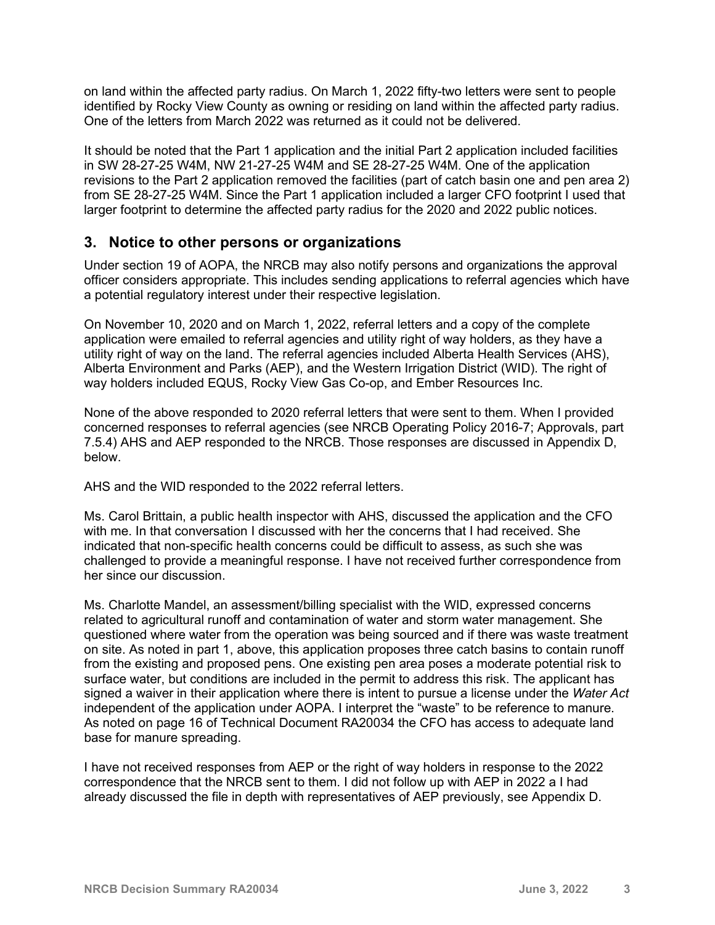on land within the affected party radius. On March 1, 2022 fifty-two letters were sent to people identified by Rocky View County as owning or residing on land within the affected party radius. One of the letters from March 2022 was returned as it could not be delivered.

It should be noted that the Part 1 application and the initial Part 2 application included facilities in SW 28-27-25 W4M, NW 21-27-25 W4M and SE 28-27-25 W4M. One of the application revisions to the Part 2 application removed the facilities (part of catch basin one and pen area 2) from SE 28-27-25 W4M. Since the Part 1 application included a larger CFO footprint I used that larger footprint to determine the affected party radius for the 2020 and 2022 public notices.

## **3. Notice to other persons or organizations**

Under section 19 of AOPA, the NRCB may also notify persons and organizations the approval officer considers appropriate. This includes sending applications to referral agencies which have a potential regulatory interest under their respective legislation.

On November 10, 2020 and on March 1, 2022, referral letters and a copy of the complete application were emailed to referral agencies and utility right of way holders, as they have a utility right of way on the land. The referral agencies included Alberta Health Services (AHS), Alberta Environment and Parks (AEP), and the Western Irrigation District (WID). The right of way holders included EQUS, Rocky View Gas Co-op, and Ember Resources Inc.

None of the above responded to 2020 referral letters that were sent to them. When I provided concerned responses to referral agencies (see NRCB Operating Policy 2016-7; Approvals, part 7.5.4) AHS and AEP responded to the NRCB. Those responses are discussed in Appendix D, below.

AHS and the WID responded to the 2022 referral letters.

Ms. Carol Brittain, a public health inspector with AHS, discussed the application and the CFO with me. In that conversation I discussed with her the concerns that I had received. She indicated that non-specific health concerns could be difficult to assess, as such she was challenged to provide a meaningful response. I have not received further correspondence from her since our discussion.

Ms. Charlotte Mandel, an assessment/billing specialist with the WID, expressed concerns related to agricultural runoff and contamination of water and storm water management. She questioned where water from the operation was being sourced and if there was waste treatment on site. As noted in part 1, above, this application proposes three catch basins to contain runoff from the existing and proposed pens. One existing pen area poses a moderate potential risk to surface water, but conditions are included in the permit to address this risk. The applicant has signed a waiver in their application where there is intent to pursue a license under the *Water Act* independent of the application under AOPA. I interpret the "waste" to be reference to manure. As noted on page 16 of Technical Document RA20034 the CFO has access to adequate land base for manure spreading.

I have not received responses from AEP or the right of way holders in response to the 2022 correspondence that the NRCB sent to them. I did not follow up with AEP in 2022 a I had already discussed the file in depth with representatives of AEP previously, see Appendix D.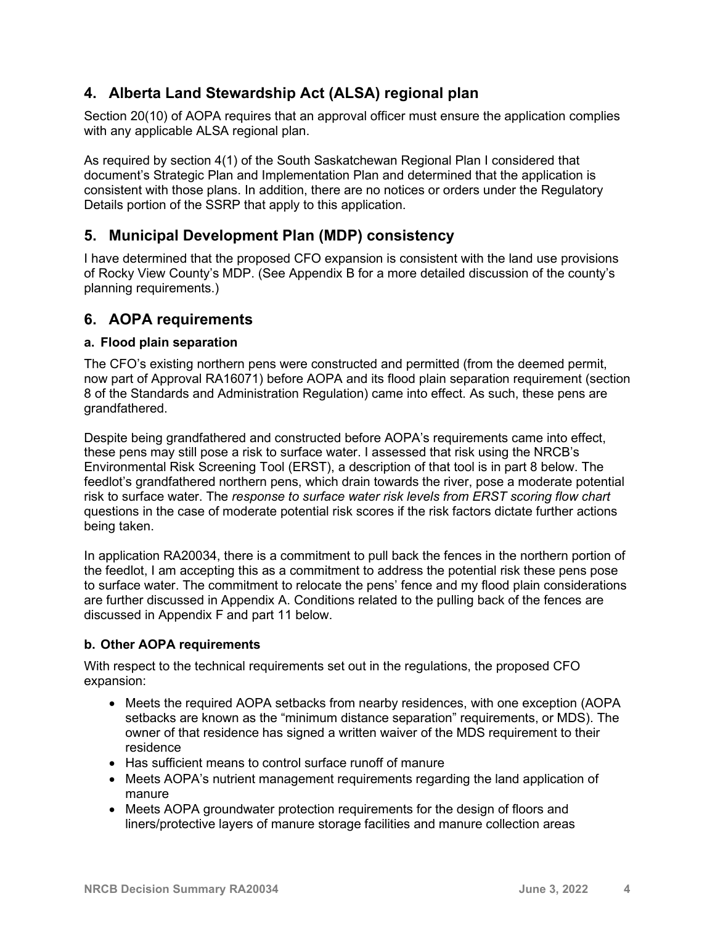# **4. Alberta Land Stewardship Act (ALSA) regional plan**

Section 20(10) of AOPA requires that an approval officer must ensure the application complies with any applicable ALSA regional plan.

As required by section 4(1) of the South Saskatchewan Regional Plan I considered that document's Strategic Plan and Implementation Plan and determined that the application is consistent with those plans. In addition, there are no notices or orders under the Regulatory Details portion of the SSRP that apply to this application.

# **5. Municipal Development Plan (MDP) consistency**

I have determined that the proposed CFO expansion is consistent with the land use provisions of Rocky View County's MDP. (See Appendix B for a more detailed discussion of the county's planning requirements.)

## **6. AOPA requirements**

### **a. Flood plain separation**

The CFO's existing northern pens were constructed and permitted (from the deemed permit, now part of Approval RA16071) before AOPA and its flood plain separation requirement (section 8 of the Standards and Administration Regulation) came into effect. As such, these pens are grandfathered.

Despite being grandfathered and constructed before AOPA's requirements came into effect, these pens may still pose a risk to surface water. I assessed that risk using the NRCB's Environmental Risk Screening Tool (ERST), a description of that tool is in part 8 below. The feedlot's grandfathered northern pens, which drain towards the river, pose a moderate potential risk to surface water. The *response to surface water risk levels from ERST scoring flow chart* questions in the case of moderate potential risk scores if the risk factors dictate further actions being taken.

In application RA20034, there is a commitment to pull back the fences in the northern portion of the feedlot, I am accepting this as a commitment to address the potential risk these pens pose to surface water. The commitment to relocate the pens' fence and my flood plain considerations are further discussed in Appendix A. Conditions related to the pulling back of the fences are discussed in Appendix F and part 11 below.

### **b. Other AOPA requirements**

With respect to the technical requirements set out in the regulations, the proposed CFO expansion:

- Meets the required AOPA setbacks from nearby residences, with one exception (AOPA setbacks are known as the "minimum distance separation" requirements, or MDS). The owner of that residence has signed a written waiver of the MDS requirement to their residence
- Has sufficient means to control surface runoff of manure
- Meets AOPA's nutrient management requirements regarding the land application of manure
- Meets AOPA groundwater protection requirements for the design of floors and liners/protective layers of manure storage facilities and manure collection areas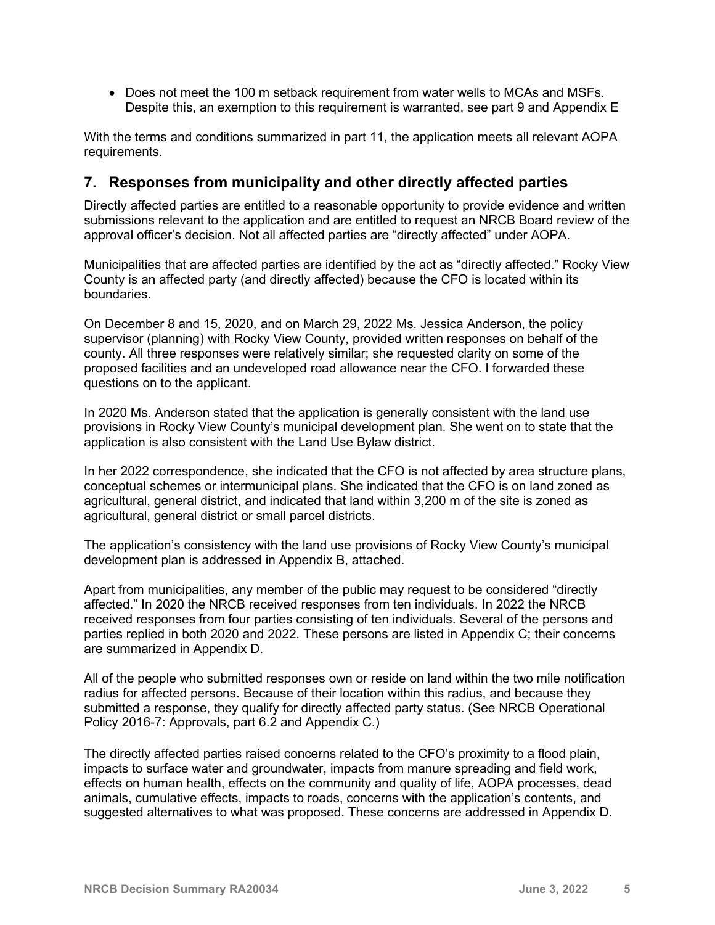• Does not meet the 100 m setback requirement from water wells to MCAs and MSFs. Despite this, an exemption to this requirement is warranted, see part 9 and Appendix E

With the terms and conditions summarized in part 11, the application meets all relevant AOPA requirements.

### **7. Responses from municipality and other directly affected parties**

Directly affected parties are entitled to a reasonable opportunity to provide evidence and written submissions relevant to the application and are entitled to request an NRCB Board review of the approval officer's decision. Not all affected parties are "directly affected" under AOPA.

Municipalities that are affected parties are identified by the act as "directly affected." Rocky View County is an affected party (and directly affected) because the CFO is located within its boundaries.

On December 8 and 15, 2020, and on March 29, 2022 Ms. Jessica Anderson, the policy supervisor (planning) with Rocky View County, provided written responses on behalf of the county. All three responses were relatively similar; she requested clarity on some of the proposed facilities and an undeveloped road allowance near the CFO. I forwarded these questions on to the applicant.

In 2020 Ms. Anderson stated that the application is generally consistent with the land use provisions in Rocky View County's municipal development plan. She went on to state that the application is also consistent with the Land Use Bylaw district.

In her 2022 correspondence, she indicated that the CFO is not affected by area structure plans, conceptual schemes or intermunicipal plans. She indicated that the CFO is on land zoned as agricultural, general district, and indicated that land within 3,200 m of the site is zoned as agricultural, general district or small parcel districts.

The application's consistency with the land use provisions of Rocky View County's municipal development plan is addressed in Appendix B, attached.

Apart from municipalities, any member of the public may request to be considered "directly affected." In 2020 the NRCB received responses from ten individuals. In 2022 the NRCB received responses from four parties consisting of ten individuals. Several of the persons and parties replied in both 2020 and 2022. These persons are listed in Appendix C; their concerns are summarized in Appendix D.

All of the people who submitted responses own or reside on land within the two mile notification radius for affected persons. Because of their location within this radius, and because they submitted a response, they qualify for directly affected party status. (See NRCB Operational Policy 2016-7: Approvals, part 6.2 and Appendix C.)

The directly affected parties raised concerns related to the CFO's proximity to a flood plain, impacts to surface water and groundwater, impacts from manure spreading and field work, effects on human health, effects on the community and quality of life, AOPA processes, dead animals, cumulative effects, impacts to roads, concerns with the application's contents, and suggested alternatives to what was proposed. These concerns are addressed in Appendix D.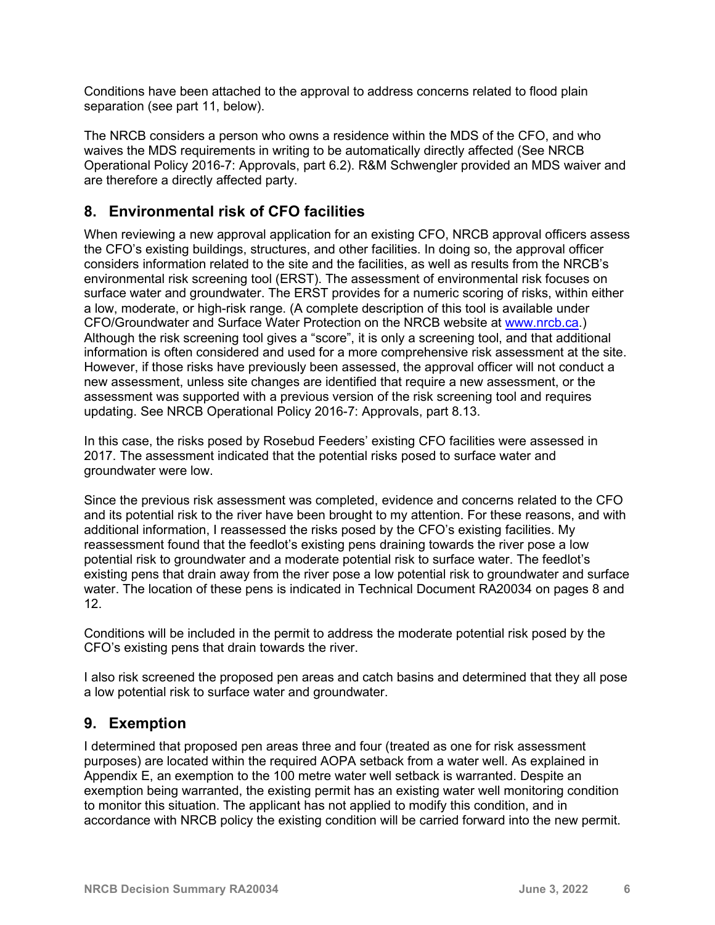Conditions have been attached to the approval to address concerns related to flood plain separation (see part 11, below).

The NRCB considers a person who owns a residence within the MDS of the CFO, and who waives the MDS requirements in writing to be automatically directly affected (See NRCB Operational Policy 2016-7: Approvals, part 6.2). R&M Schwengler provided an MDS waiver and are therefore a directly affected party.

# **8. Environmental risk of CFO facilities**

When reviewing a new approval application for an existing CFO, NRCB approval officers assess the CFO's existing buildings, structures, and other facilities. In doing so, the approval officer considers information related to the site and the facilities, as well as results from the NRCB's environmental risk screening tool (ERST). The assessment of environmental risk focuses on surface water and groundwater. The ERST provides for a numeric scoring of risks, within either a low, moderate, or high-risk range. (A complete description of this tool is available under CFO/Groundwater and Surface Water Protection on the NRCB website at [www.nrcb.ca.](http://www.nrcb.ca/)) Although the risk screening tool gives a "score", it is only a screening tool, and that additional information is often considered and used for a more comprehensive risk assessment at the site. However, if those risks have previously been assessed, the approval officer will not conduct a new assessment, unless site changes are identified that require a new assessment, or the assessment was supported with a previous version of the risk screening tool and requires updating. See NRCB Operational Policy 2016-7: Approvals, part 8.13.

In this case, the risks posed by Rosebud Feeders' existing CFO facilities were assessed in 2017. The assessment indicated that the potential risks posed to surface water and groundwater were low.

Since the previous risk assessment was completed, evidence and concerns related to the CFO and its potential risk to the river have been brought to my attention. For these reasons, and with additional information, I reassessed the risks posed by the CFO's existing facilities. My reassessment found that the feedlot's existing pens draining towards the river pose a low potential risk to groundwater and a moderate potential risk to surface water. The feedlot's existing pens that drain away from the river pose a low potential risk to groundwater and surface water. The location of these pens is indicated in Technical Document RA20034 on pages 8 and 12.

Conditions will be included in the permit to address the moderate potential risk posed by the CFO's existing pens that drain towards the river.

I also risk screened the proposed pen areas and catch basins and determined that they all pose a low potential risk to surface water and groundwater.

## **9. Exemption**

I determined that proposed pen areas three and four (treated as one for risk assessment purposes) are located within the required AOPA setback from a water well. As explained in Appendix E, an exemption to the 100 metre water well setback is warranted. Despite an exemption being warranted, the existing permit has an existing water well monitoring condition to monitor this situation. The applicant has not applied to modify this condition, and in accordance with NRCB policy the existing condition will be carried forward into the new permit.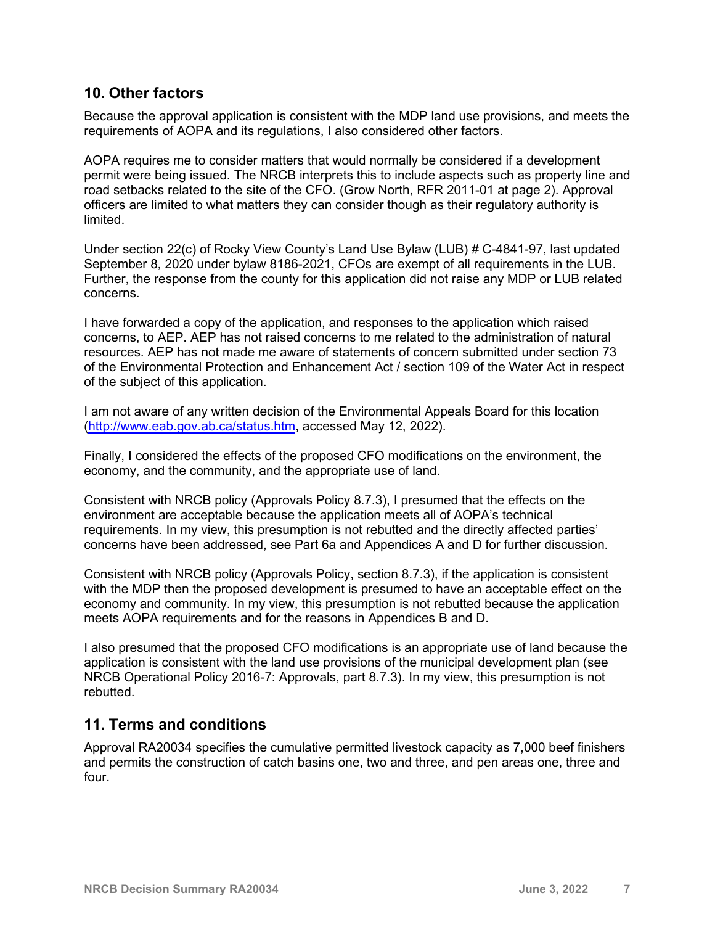## **10. Other factors**

Because the approval application is consistent with the MDP land use provisions, and meets the requirements of AOPA and its regulations, I also considered other factors.

AOPA requires me to consider matters that would normally be considered if a development permit were being issued. The NRCB interprets this to include aspects such as property line and road setbacks related to the site of the CFO. (Grow North, RFR 2011-01 at page 2). Approval officers are limited to what matters they can consider though as their regulatory authority is limited.

Under section 22(c) of Rocky View County's Land Use Bylaw (LUB) # C-4841-97, last updated September 8, 2020 under bylaw 8186-2021, CFOs are exempt of all requirements in the LUB. Further, the response from the county for this application did not raise any MDP or LUB related concerns.

I have forwarded a copy of the application, and responses to the application which raised concerns, to AEP. AEP has not raised concerns to me related to the administration of natural resources. AEP has not made me aware of statements of concern submitted under section 73 of the Environmental Protection and Enhancement Act / section 109 of the Water Act in respect of the subject of this application.

I am not aware of any written decision of the Environmental Appeals Board for this location [\(http://www.eab.gov.ab.ca/status.htm,](http://www.eab.gov.ab.ca/status.htm) accessed May 12, 2022).

Finally, I considered the effects of the proposed CFO modifications on the environment, the economy, and the community, and the appropriate use of land.

Consistent with NRCB policy (Approvals Policy 8.7.3), I presumed that the effects on the environment are acceptable because the application meets all of AOPA's technical requirements. In my view, this presumption is not rebutted and the directly affected parties' concerns have been addressed, see Part 6a and Appendices A and D for further discussion.

Consistent with NRCB policy (Approvals Policy, section 8.7.3), if the application is consistent with the MDP then the proposed development is presumed to have an acceptable effect on the economy and community. In my view, this presumption is not rebutted because the application meets AOPA requirements and for the reasons in Appendices B and D.

I also presumed that the proposed CFO modifications is an appropriate use of land because the application is consistent with the land use provisions of the municipal development plan (see NRCB Operational Policy 2016-7: Approvals, part 8.7.3). In my view, this presumption is not rebutted.

## **11. Terms and conditions**

Approval RA20034 specifies the cumulative permitted livestock capacity as 7,000 beef finishers and permits the construction of catch basins one, two and three, and pen areas one, three and four.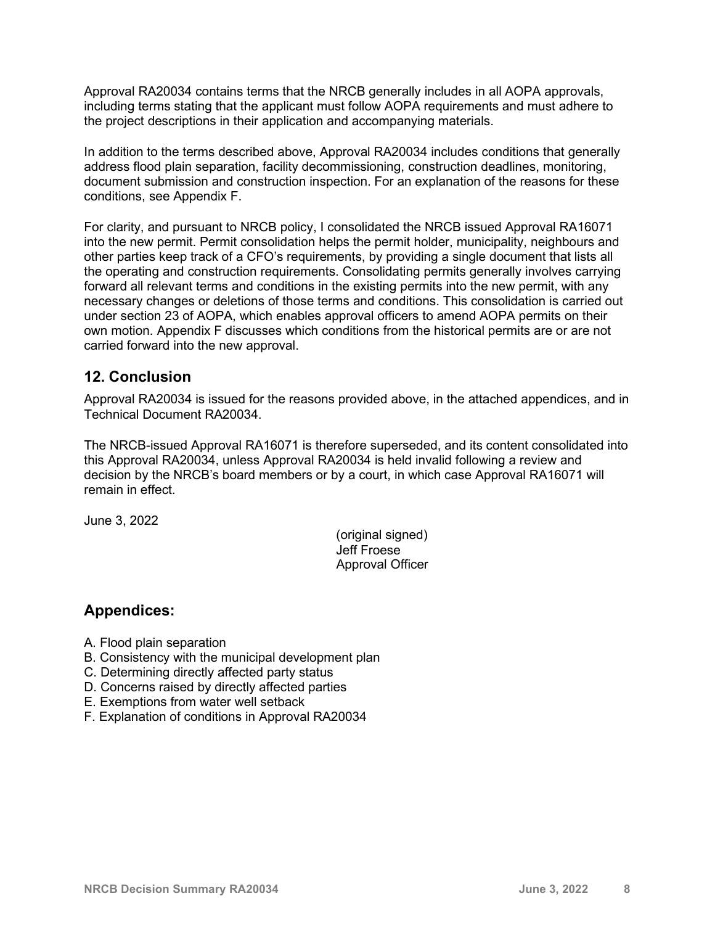Approval RA20034 contains terms that the NRCB generally includes in all AOPA approvals, including terms stating that the applicant must follow AOPA requirements and must adhere to the project descriptions in their application and accompanying materials.

In addition to the terms described above, Approval RA20034 includes conditions that generally address flood plain separation, facility decommissioning, construction deadlines, monitoring, document submission and construction inspection. For an explanation of the reasons for these conditions, see Appendix F.

For clarity, and pursuant to NRCB policy, I consolidated the NRCB issued Approval RA16071 into the new permit. Permit consolidation helps the permit holder, municipality, neighbours and other parties keep track of a CFO's requirements, by providing a single document that lists all the operating and construction requirements. Consolidating permits generally involves carrying forward all relevant terms and conditions in the existing permits into the new permit, with any necessary changes or deletions of those terms and conditions. This consolidation is carried out under section 23 of AOPA, which enables approval officers to amend AOPA permits on their own motion. Appendix F discusses which conditions from the historical permits are or are not carried forward into the new approval.

## **12. Conclusion**

Approval RA20034 is issued for the reasons provided above, in the attached appendices, and in Technical Document RA20034.

The NRCB-issued Approval RA16071 is therefore superseded, and its content consolidated into this Approval RA20034, unless Approval RA20034 is held invalid following a review and decision by the NRCB's board members or by a court, in which case Approval RA16071 will remain in effect.

June 3, 2022

(original signed) Jeff Froese Approval Officer

## **Appendices:**

- A. Flood plain separation
- B. Consistency with the municipal development plan
- C. Determining directly affected party status
- D. Concerns raised by directly affected parties
- E. Exemptions from water well setback
- F. Explanation of conditions in Approval RA20034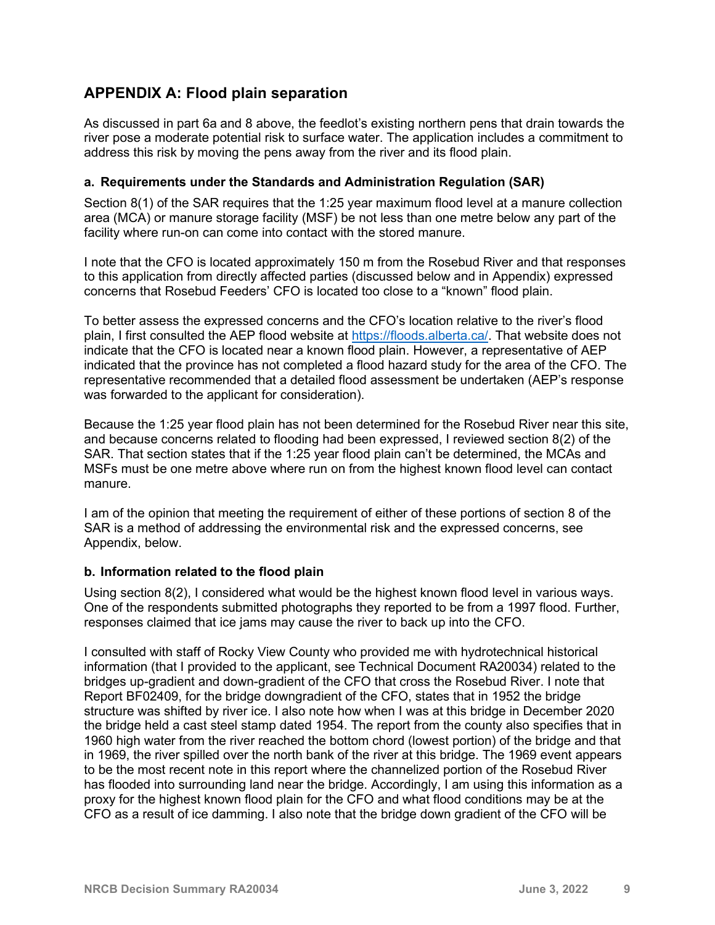# **APPENDIX A: Flood plain separation**

As discussed in part 6a and 8 above, the feedlot's existing northern pens that drain towards the river pose a moderate potential risk to surface water. The application includes a commitment to address this risk by moving the pens away from the river and its flood plain.

### **a. Requirements under the Standards and Administration Regulation (SAR)**

Section 8(1) of the SAR requires that the 1:25 year maximum flood level at a manure collection area (MCA) or manure storage facility (MSF) be not less than one metre below any part of the facility where run-on can come into contact with the stored manure.

I note that the CFO is located approximately 150 m from the Rosebud River and that responses to this application from directly affected parties (discussed below and in Appendix) expressed concerns that Rosebud Feeders' CFO is located too close to a "known" flood plain.

To better assess the expressed concerns and the CFO's location relative to the river's flood plain, I first consulted the AEP flood website at [https://floods.alberta.ca/.](https://floods.alberta.ca/) That website does not indicate that the CFO is located near a known flood plain. However, a representative of AEP indicated that the province has not completed a flood hazard study for the area of the CFO. The representative recommended that a detailed flood assessment be undertaken (AEP's response was forwarded to the applicant for consideration).

Because the 1:25 year flood plain has not been determined for the Rosebud River near this site, and because concerns related to flooding had been expressed, I reviewed section 8(2) of the SAR. That section states that if the 1:25 year flood plain can't be determined, the MCAs and MSFs must be one metre above where run on from the highest known flood level can contact manure.

I am of the opinion that meeting the requirement of either of these portions of section 8 of the SAR is a method of addressing the environmental risk and the expressed concerns, see Appendix, below.

#### **b. Information related to the flood plain**

Using section 8(2), I considered what would be the highest known flood level in various ways. One of the respondents submitted photographs they reported to be from a 1997 flood. Further, responses claimed that ice jams may cause the river to back up into the CFO.

I consulted with staff of Rocky View County who provided me with hydrotechnical historical information (that I provided to the applicant, see Technical Document RA20034) related to the bridges up-gradient and down-gradient of the CFO that cross the Rosebud River. I note that Report BF02409, for the bridge downgradient of the CFO, states that in 1952 the bridge structure was shifted by river ice. I also note how when I was at this bridge in December 2020 the bridge held a cast steel stamp dated 1954. The report from the county also specifies that in 1960 high water from the river reached the bottom chord (lowest portion) of the bridge and that in 1969, the river spilled over the north bank of the river at this bridge. The 1969 event appears to be the most recent note in this report where the channelized portion of the Rosebud River has flooded into surrounding land near the bridge. Accordingly, I am using this information as a proxy for the highest known flood plain for the CFO and what flood conditions may be at the CFO as a result of ice damming. I also note that the bridge down gradient of the CFO will be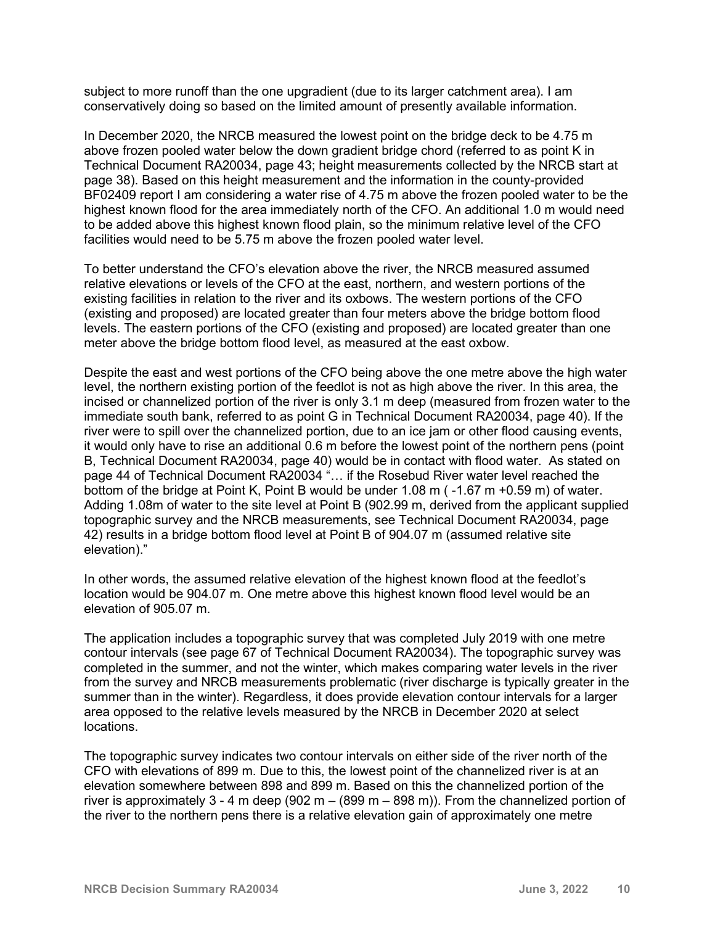subject to more runoff than the one upgradient (due to its larger catchment area). I am conservatively doing so based on the limited amount of presently available information.

In December 2020, the NRCB measured the lowest point on the bridge deck to be 4.75 m above frozen pooled water below the down gradient bridge chord (referred to as point K in Technical Document RA20034, page 43; height measurements collected by the NRCB start at page 38). Based on this height measurement and the information in the county-provided BF02409 report I am considering a water rise of 4.75 m above the frozen pooled water to be the highest known flood for the area immediately north of the CFO. An additional 1.0 m would need to be added above this highest known flood plain, so the minimum relative level of the CFO facilities would need to be 5.75 m above the frozen pooled water level.

To better understand the CFO's elevation above the river, the NRCB measured assumed relative elevations or levels of the CFO at the east, northern, and western portions of the existing facilities in relation to the river and its oxbows. The western portions of the CFO (existing and proposed) are located greater than four meters above the bridge bottom flood levels. The eastern portions of the CFO (existing and proposed) are located greater than one meter above the bridge bottom flood level, as measured at the east oxbow.

Despite the east and west portions of the CFO being above the one metre above the high water level, the northern existing portion of the feedlot is not as high above the river. In this area, the incised or channelized portion of the river is only 3.1 m deep (measured from frozen water to the immediate south bank, referred to as point G in Technical Document RA20034, page 40). If the river were to spill over the channelized portion, due to an ice jam or other flood causing events, it would only have to rise an additional 0.6 m before the lowest point of the northern pens (point B, Technical Document RA20034, page 40) would be in contact with flood water. As stated on page 44 of Technical Document RA20034 "... if the Rosebud River water level reached the bottom of the bridge at Point K, Point B would be under 1.08 m ( -1.67 m +0.59 m) of water. Adding 1.08m of water to the site level at Point B (902.99 m, derived from the applicant supplied topographic survey and the NRCB measurements, see Technical Document RA20034, page 42) results in a bridge bottom flood level at Point B of 904.07 m (assumed relative site elevation)."

In other words, the assumed relative elevation of the highest known flood at the feedlot's location would be 904.07 m. One metre above this highest known flood level would be an elevation of 905.07 m.

The application includes a topographic survey that was completed July 2019 with one metre contour intervals (see page 67 of Technical Document RA20034). The topographic survey was completed in the summer, and not the winter, which makes comparing water levels in the river from the survey and NRCB measurements problematic (river discharge is typically greater in the summer than in the winter). Regardless, it does provide elevation contour intervals for a larger area opposed to the relative levels measured by the NRCB in December 2020 at select locations.

The topographic survey indicates two contour intervals on either side of the river north of the CFO with elevations of 899 m. Due to this, the lowest point of the channelized river is at an elevation somewhere between 898 and 899 m. Based on this the channelized portion of the river is approximately 3 - 4 m deep (902 m  $-$  (899 m  $-$  898 m)). From the channelized portion of the river to the northern pens there is a relative elevation gain of approximately one metre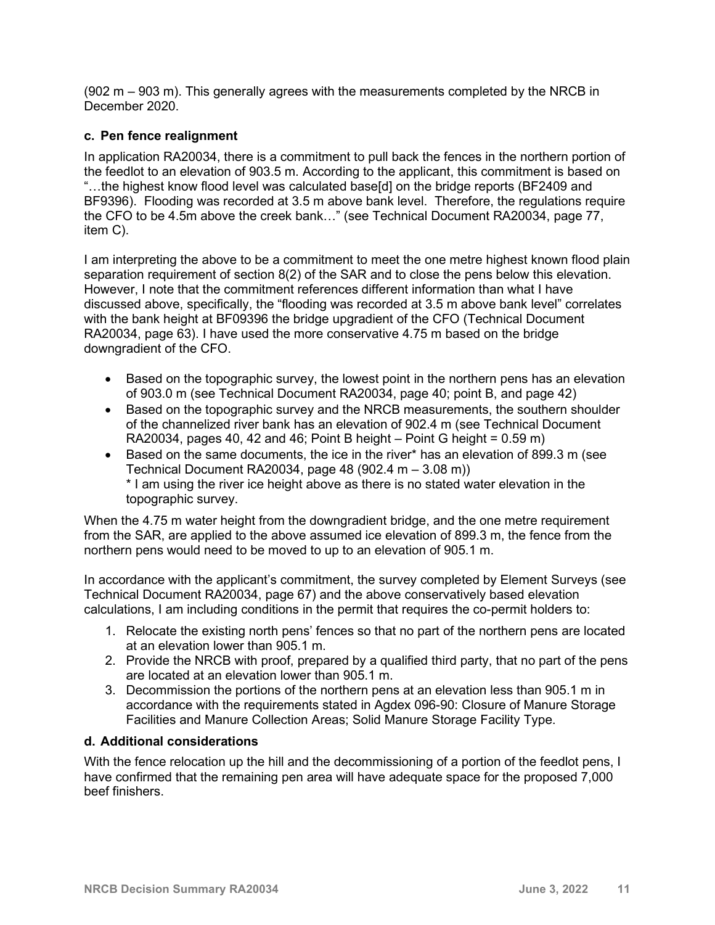(902 m – 903 m). This generally agrees with the measurements completed by the NRCB in December 2020.

### **c. Pen fence realignment**

In application RA20034, there is a commitment to pull back the fences in the northern portion of the feedlot to an elevation of 903.5 m. According to the applicant, this commitment is based on "…the highest know flood level was calculated base[d] on the bridge reports (BF2409 and BF9396). Flooding was recorded at 3.5 m above bank level. Therefore, the regulations require the CFO to be 4.5m above the creek bank…" (see Technical Document RA20034, page 77, item C).

I am interpreting the above to be a commitment to meet the one metre highest known flood plain separation requirement of section 8(2) of the SAR and to close the pens below this elevation. However, I note that the commitment references different information than what I have discussed above, specifically, the "flooding was recorded at 3.5 m above bank level" correlates with the bank height at BF09396 the bridge upgradient of the CFO (Technical Document RA20034, page 63). I have used the more conservative 4.75 m based on the bridge downgradient of the CFO.

- Based on the topographic survey, the lowest point in the northern pens has an elevation of 903.0 m (see Technical Document RA20034, page 40; point B, and page 42)
- Based on the topographic survey and the NRCB measurements, the southern shoulder of the channelized river bank has an elevation of 902.4 m (see Technical Document RA20034, pages 40, 42 and 46; Point B height – Point G height =  $0.59$  m)
- Based on the same documents, the ice in the river\* has an elevation of 899.3 m (see Technical Document RA20034, page 48 (902.4 m – 3.08 m)) \* I am using the river ice height above as there is no stated water elevation in the topographic survey.

When the 4.75 m water height from the downgradient bridge, and the one metre requirement from the SAR, are applied to the above assumed ice elevation of 899.3 m, the fence from the northern pens would need to be moved to up to an elevation of 905.1 m.

In accordance with the applicant's commitment, the survey completed by Element Surveys (see Technical Document RA20034, page 67) and the above conservatively based elevation calculations, I am including conditions in the permit that requires the co-permit holders to:

- 1. Relocate the existing north pens' fences so that no part of the northern pens are located at an elevation lower than 905.1 m.
- 2. Provide the NRCB with proof, prepared by a qualified third party, that no part of the pens are located at an elevation lower than 905.1 m.
- 3. Decommission the portions of the northern pens at an elevation less than 905.1 m in accordance with the requirements stated in Agdex 096-90: Closure of Manure Storage Facilities and Manure Collection Areas; Solid Manure Storage Facility Type.

#### **d. Additional considerations**

With the fence relocation up the hill and the decommissioning of a portion of the feedlot pens, I have confirmed that the remaining pen area will have adequate space for the proposed 7,000 beef finishers.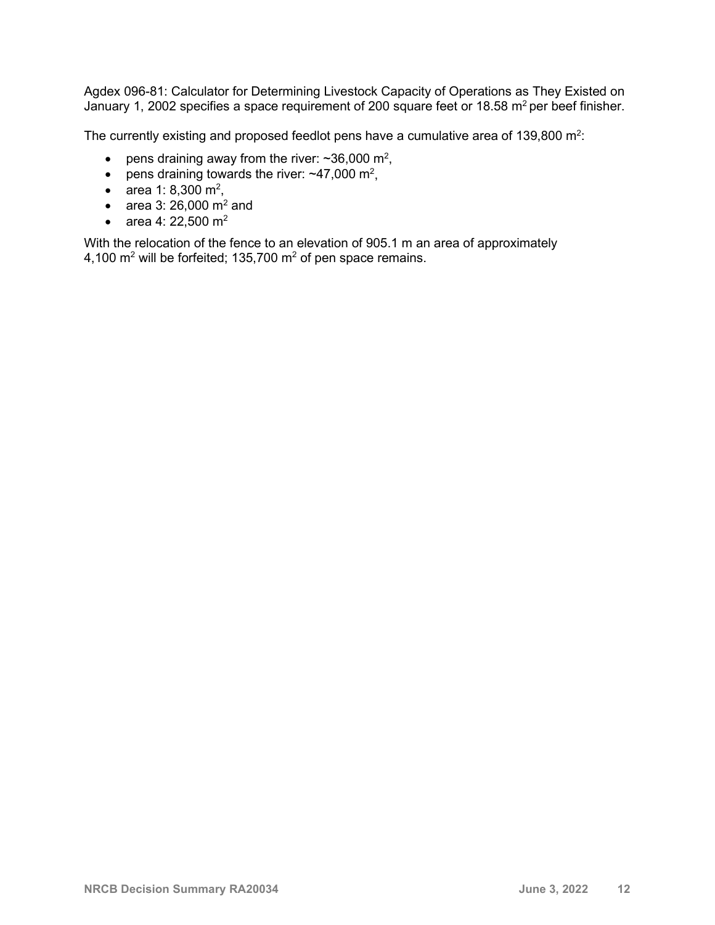Agdex 096-81: Calculator for Determining Livestock Capacity of Operations as They Existed on January 1, 2002 specifies a space requirement of 200 square feet or 18.58 m<sup>2</sup> per beef finisher.

The currently existing and proposed feedlot pens have a cumulative area of 139,800 m<sup>2</sup>:

- pens draining away from the river:  $\sim$ 36,000 m<sup>2</sup>,
- pens draining towards the river:  $\sim$ 47,000 m<sup>2</sup>,
- area 1: 8,300 m<sup>2</sup>,
- area 3: 26,000  $\text{m}^2$  and
- area 4: 22,500  $m^2$

With the relocation of the fence to an elevation of 905.1 m an area of approximately 4,100  $m^2$  will be forfeited; 135,700  $m^2$  of pen space remains.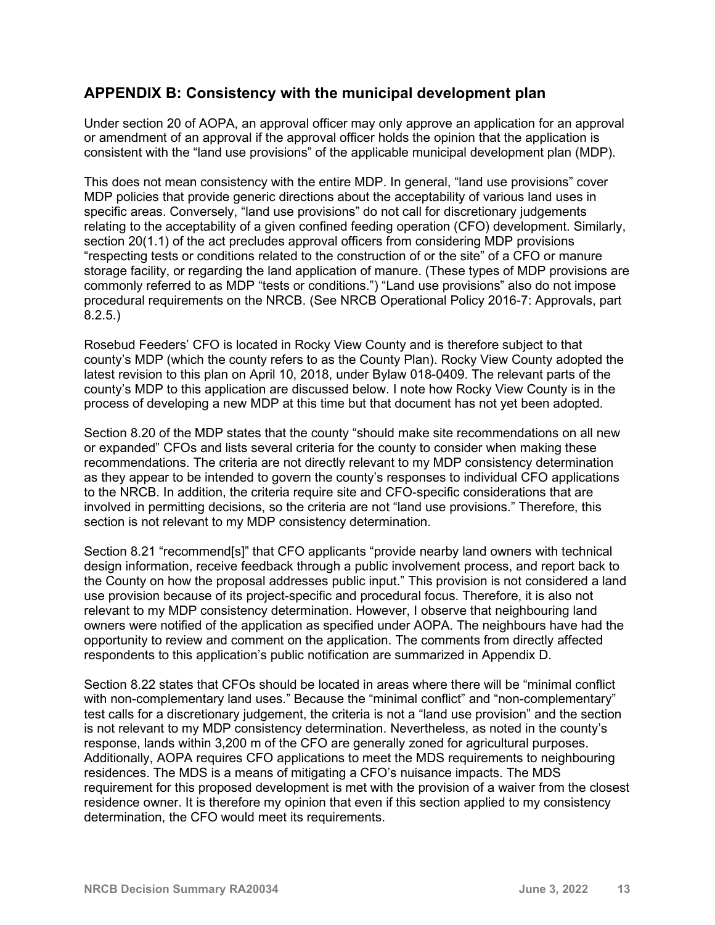## **APPENDIX B: Consistency with the municipal development plan**

Under section 20 of AOPA, an approval officer may only approve an application for an approval or amendment of an approval if the approval officer holds the opinion that the application is consistent with the "land use provisions" of the applicable municipal development plan (MDP).

This does not mean consistency with the entire MDP. In general, "land use provisions" cover MDP policies that provide generic directions about the acceptability of various land uses in specific areas. Conversely, "land use provisions" do not call for discretionary judgements relating to the acceptability of a given confined feeding operation (CFO) development. Similarly, section 20(1.1) of the act precludes approval officers from considering MDP provisions "respecting tests or conditions related to the construction of or the site" of a CFO or manure storage facility, or regarding the land application of manure. (These types of MDP provisions are commonly referred to as MDP "tests or conditions.") "Land use provisions" also do not impose procedural requirements on the NRCB. (See NRCB Operational Policy 2016-7: Approvals, part 8.2.5.)

Rosebud Feeders' CFO is located in Rocky View County and is therefore subject to that county's MDP (which the county refers to as the County Plan). Rocky View County adopted the latest revision to this plan on April 10, 2018, under Bylaw 018-0409. The relevant parts of the county's MDP to this application are discussed below. I note how Rocky View County is in the process of developing a new MDP at this time but that document has not yet been adopted.

Section 8.20 of the MDP states that the county "should make site recommendations on all new or expanded" CFOs and lists several criteria for the county to consider when making these recommendations. The criteria are not directly relevant to my MDP consistency determination as they appear to be intended to govern the county's responses to individual CFO applications to the NRCB. In addition, the criteria require site and CFO-specific considerations that are involved in permitting decisions, so the criteria are not "land use provisions." Therefore, this section is not relevant to my MDP consistency determination.

Section 8.21 "recommend[s]" that CFO applicants "provide nearby land owners with technical design information, receive feedback through a public involvement process, and report back to the County on how the proposal addresses public input." This provision is not considered a land use provision because of its project-specific and procedural focus. Therefore, it is also not relevant to my MDP consistency determination. However, I observe that neighbouring land owners were notified of the application as specified under AOPA. The neighbours have had the opportunity to review and comment on the application. The comments from directly affected respondents to this application's public notification are summarized in Appendix D.

Section 8.22 states that CFOs should be located in areas where there will be "minimal conflict with non-complementary land uses." Because the "minimal conflict" and "non-complementary" test calls for a discretionary judgement, the criteria is not a "land use provision" and the section is not relevant to my MDP consistency determination. Nevertheless, as noted in the county's response, lands within 3,200 m of the CFO are generally zoned for agricultural purposes. Additionally, AOPA requires CFO applications to meet the MDS requirements to neighbouring residences. The MDS is a means of mitigating a CFO's nuisance impacts. The MDS requirement for this proposed development is met with the provision of a waiver from the closest residence owner. It is therefore my opinion that even if this section applied to my consistency determination, the CFO would meet its requirements.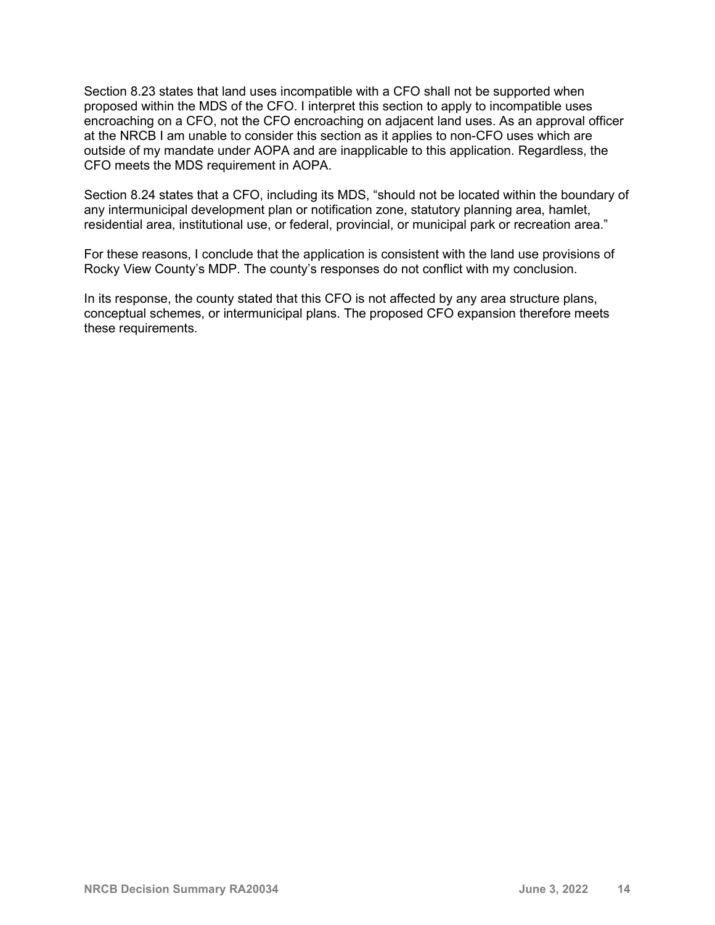Section 8.23 states that land uses incompatible with a CFO shall not be supported when proposed within the MDS of the CFO. I interpret this section to apply to incompatible uses encroaching on a CFO, not the CFO encroaching on adjacent land uses. As an approval officer at the NRCB I am unable to consider this section as it applies to non-CFO uses which are outside of my mandate under AOPA and are inapplicable to this application. Regardless, the CFO meets the MDS requirement in AOPA.

Section 8.24 states that a CFO, including its MDS, "should not be located within the boundary of any intermunicipal development plan or notification zone, statutory planning area, hamlet, residential area, institutional use, or federal, provincial, or municipal park or recreation area."

For these reasons, I conclude that the application is consistent with the land use provisions of Rocky View County's MDP. The county's responses do not conflict with my conclusion.

In its response, the county stated that this CFO is not affected by any area structure plans, conceptual schemes, or intermunicipal plans. The proposed CFO expansion therefore meets these requirements.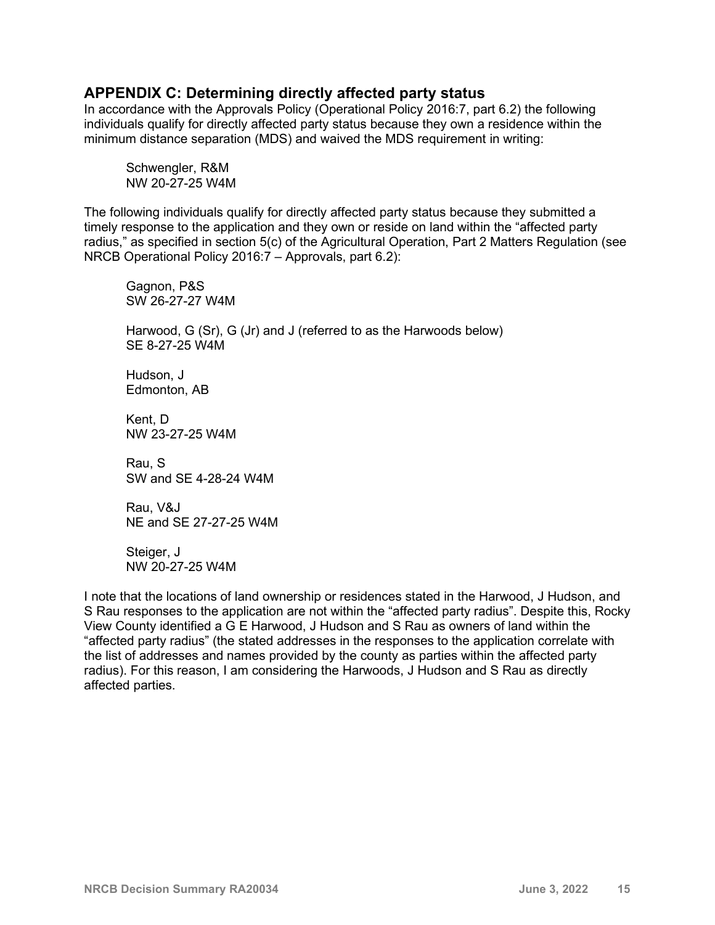### **APPENDIX C: Determining directly affected party status**

In accordance with the Approvals Policy (Operational Policy 2016:7, part 6.2) the following individuals qualify for directly affected party status because they own a residence within the minimum distance separation (MDS) and waived the MDS requirement in writing:

Schwengler, R&M NW 20-27-25 W4M

The following individuals qualify for directly affected party status because they submitted a timely response to the application and they own or reside on land within the "affected party radius," as specified in section 5(c) of the Agricultural Operation, Part 2 Matters Regulation (see NRCB Operational Policy 2016:7 – Approvals, part 6.2):

Gagnon, P&S SW 26-27-27 W4M

Harwood, G (Sr), G (Jr) and J (referred to as the Harwoods below) SE 8-27-25 W4M

Hudson, J Edmonton, AB

Kent, D NW 23-27-25 W4M

Rau, S SW and SE 4-28-24 W4M

Rau, V&J NE and SE 27-27-25 W4M

Steiger, J NW 20-27-25 W4M

I note that the locations of land ownership or residences stated in the Harwood, J Hudson, and S Rau responses to the application are not within the "affected party radius". Despite this, Rocky View County identified a G E Harwood, J Hudson and S Rau as owners of land within the "affected party radius" (the stated addresses in the responses to the application correlate with the list of addresses and names provided by the county as parties within the affected party radius). For this reason, I am considering the Harwoods, J Hudson and S Rau as directly affected parties.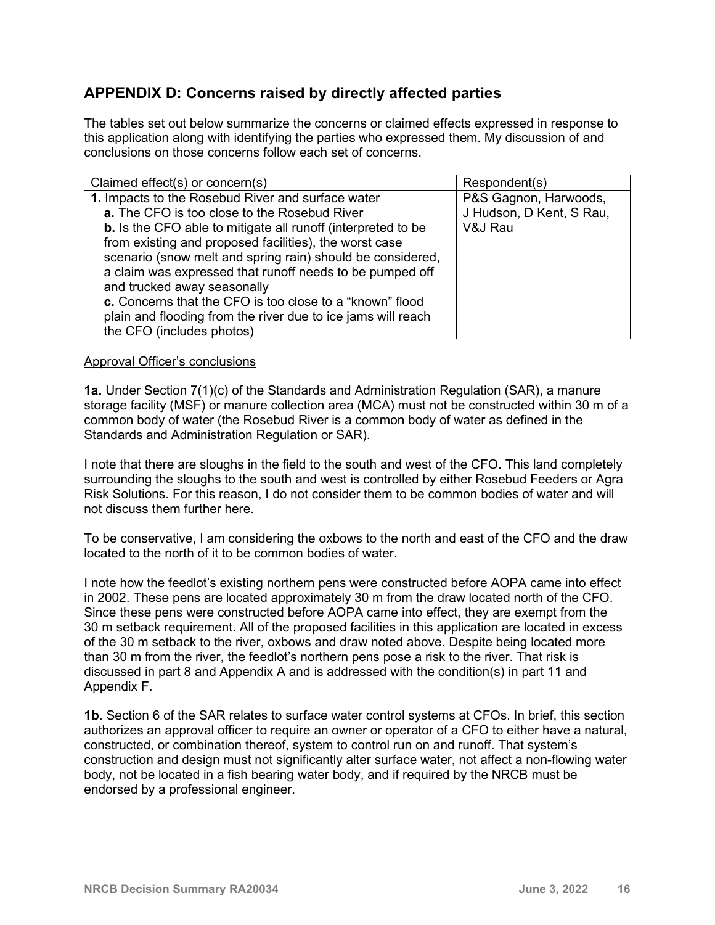# **APPENDIX D: Concerns raised by directly affected parties**

The tables set out below summarize the concerns or claimed effects expressed in response to this application along with identifying the parties who expressed them. My discussion of and conclusions on those concerns follow each set of concerns.

| Claimed effect(s) or concern(s)                                     | Respondent(s)            |
|---------------------------------------------------------------------|--------------------------|
| 1. Impacts to the Rosebud River and surface water                   | P&S Gagnon, Harwoods,    |
| a. The CFO is too close to the Rosebud River                        | J Hudson, D Kent, S Rau, |
| <b>b.</b> Is the CFO able to mitigate all runoff (interpreted to be | V&J Rau                  |
| from existing and proposed facilities), the worst case              |                          |
| scenario (snow melt and spring rain) should be considered,          |                          |
| a claim was expressed that runoff needs to be pumped off            |                          |
| and trucked away seasonally                                         |                          |
| c. Concerns that the CFO is too close to a "known" flood            |                          |
| plain and flooding from the river due to ice jams will reach        |                          |
| the CFO (includes photos)                                           |                          |

#### Approval Officer's conclusions

**1a.** Under Section 7(1)(c) of the Standards and Administration Regulation (SAR), a manure storage facility (MSF) or manure collection area (MCA) must not be constructed within 30 m of a common body of water (the Rosebud River is a common body of water as defined in the Standards and Administration Regulation or SAR).

I note that there are sloughs in the field to the south and west of the CFO. This land completely surrounding the sloughs to the south and west is controlled by either Rosebud Feeders or Agra Risk Solutions. For this reason, I do not consider them to be common bodies of water and will not discuss them further here.

To be conservative, I am considering the oxbows to the north and east of the CFO and the draw located to the north of it to be common bodies of water.

I note how the feedlot's existing northern pens were constructed before AOPA came into effect in 2002. These pens are located approximately 30 m from the draw located north of the CFO. Since these pens were constructed before AOPA came into effect, they are exempt from the 30 m setback requirement. All of the proposed facilities in this application are located in excess of the 30 m setback to the river, oxbows and draw noted above. Despite being located more than 30 m from the river, the feedlot's northern pens pose a risk to the river. That risk is discussed in part 8 and Appendix A and is addressed with the condition(s) in part 11 and Appendix F.

**1b.** Section 6 of the SAR relates to surface water control systems at CFOs. In brief, this section authorizes an approval officer to require an owner or operator of a CFO to either have a natural, constructed, or combination thereof, system to control run on and runoff. That system's construction and design must not significantly alter surface water, not affect a non-flowing water body, not be located in a fish bearing water body, and if required by the NRCB must be endorsed by a professional engineer.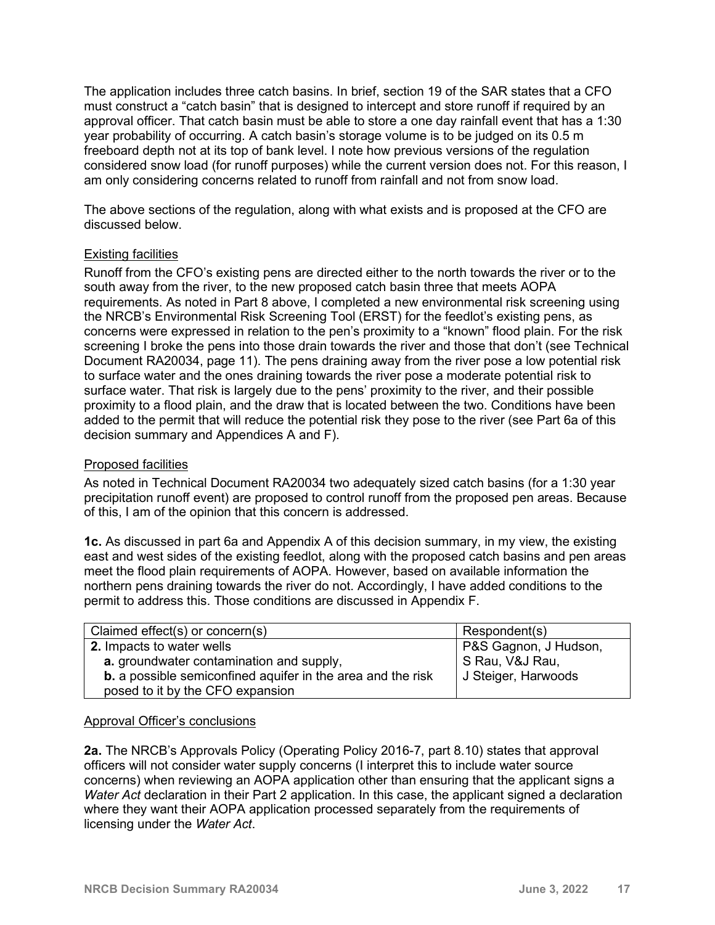The application includes three catch basins. In brief, section 19 of the SAR states that a CFO must construct a "catch basin" that is designed to intercept and store runoff if required by an approval officer. That catch basin must be able to store a one day rainfall event that has a 1:30 year probability of occurring. A catch basin's storage volume is to be judged on its 0.5 m freeboard depth not at its top of bank level. I note how previous versions of the regulation considered snow load (for runoff purposes) while the current version does not. For this reason, I am only considering concerns related to runoff from rainfall and not from snow load.

The above sections of the regulation, along with what exists and is proposed at the CFO are discussed below.

#### Existing facilities

Runoff from the CFO's existing pens are directed either to the north towards the river or to the south away from the river, to the new proposed catch basin three that meets AOPA requirements. As noted in Part 8 above, I completed a new environmental risk screening using the NRCB's Environmental Risk Screening Tool (ERST) for the feedlot's existing pens, as concerns were expressed in relation to the pen's proximity to a "known" flood plain. For the risk screening I broke the pens into those drain towards the river and those that don't (see Technical Document RA20034, page 11). The pens draining away from the river pose a low potential risk to surface water and the ones draining towards the river pose a moderate potential risk to surface water. That risk is largely due to the pens' proximity to the river, and their possible proximity to a flood plain, and the draw that is located between the two. Conditions have been added to the permit that will reduce the potential risk they pose to the river (see Part 6a of this decision summary and Appendices A and F).

#### Proposed facilities

As noted in Technical Document RA20034 two adequately sized catch basins (for a 1:30 year precipitation runoff event) are proposed to control runoff from the proposed pen areas. Because of this, I am of the opinion that this concern is addressed.

**1c.** As discussed in part 6a and Appendix A of this decision summary, in my view, the existing east and west sides of the existing feedlot, along with the proposed catch basins and pen areas meet the flood plain requirements of AOPA. However, based on available information the northern pens draining towards the river do not. Accordingly, I have added conditions to the permit to address this. Those conditions are discussed in Appendix F.

| Claimed effect(s) or concern(s)                                    | Respondent(s)         |
|--------------------------------------------------------------------|-----------------------|
| 2. Impacts to water wells                                          | P&S Gagnon, J Hudson, |
| a. groundwater contamination and supply,                           | S Rau, V&J Rau,       |
| <b>b.</b> a possible semiconfined aquifer in the area and the risk | J Steiger, Harwoods   |
| posed to it by the CFO expansion                                   |                       |

#### Approval Officer's conclusions

**2a.** The NRCB's Approvals Policy (Operating Policy 2016-7, part 8.10) states that approval officers will not consider water supply concerns (I interpret this to include water source concerns) when reviewing an AOPA application other than ensuring that the applicant signs a *Water Act* declaration in their Part 2 application. In this case, the applicant signed a declaration where they want their AOPA application processed separately from the requirements of licensing under the *Water Act*.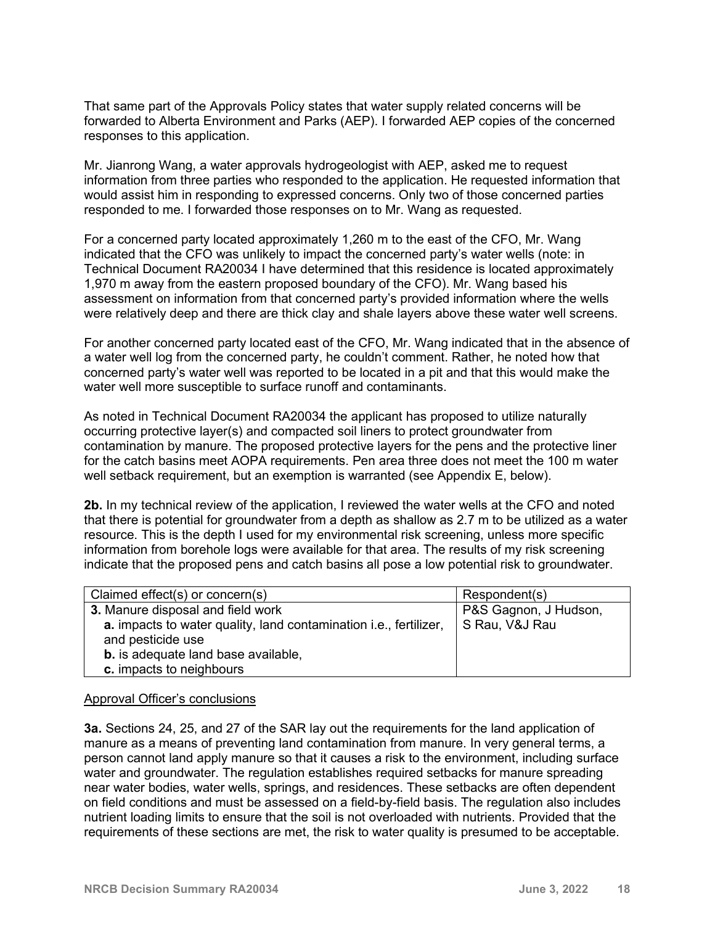That same part of the Approvals Policy states that water supply related concerns will be forwarded to Alberta Environment and Parks (AEP). I forwarded AEP copies of the concerned responses to this application.

Mr. Jianrong Wang, a water approvals hydrogeologist with AEP, asked me to request information from three parties who responded to the application. He requested information that would assist him in responding to expressed concerns. Only two of those concerned parties responded to me. I forwarded those responses on to Mr. Wang as requested.

For a concerned party located approximately 1,260 m to the east of the CFO, Mr. Wang indicated that the CFO was unlikely to impact the concerned party's water wells (note: in Technical Document RA20034 I have determined that this residence is located approximately 1,970 m away from the eastern proposed boundary of the CFO). Mr. Wang based his assessment on information from that concerned party's provided information where the wells were relatively deep and there are thick clay and shale layers above these water well screens.

For another concerned party located east of the CFO, Mr. Wang indicated that in the absence of a water well log from the concerned party, he couldn't comment. Rather, he noted how that concerned party's water well was reported to be located in a pit and that this would make the water well more susceptible to surface runoff and contaminants.

As noted in Technical Document RA20034 the applicant has proposed to utilize naturally occurring protective layer(s) and compacted soil liners to protect groundwater from contamination by manure. The proposed protective layers for the pens and the protective liner for the catch basins meet AOPA requirements. Pen area three does not meet the 100 m water well setback requirement, but an exemption is warranted (see Appendix E, below).

**2b.** In my technical review of the application, I reviewed the water wells at the CFO and noted that there is potential for groundwater from a depth as shallow as 2.7 m to be utilized as a water resource. This is the depth I used for my environmental risk screening, unless more specific information from borehole logs were available for that area. The results of my risk screening indicate that the proposed pens and catch basins all pose a low potential risk to groundwater.

| Claimed effect(s) or concern(s)                                          | Respondent(s)         |
|--------------------------------------------------------------------------|-----------------------|
| 3. Manure disposal and field work                                        | P&S Gagnon, J Hudson, |
| <b>a.</b> impacts to water quality, land contamination i.e., fertilizer, | S Rau, V&J Rau        |
| and pesticide use                                                        |                       |
| <b>b.</b> is adequate land base available,                               |                       |
| c. impacts to neighbours                                                 |                       |

#### Approval Officer's conclusions

**3a.** Sections 24, 25, and 27 of the SAR lay out the requirements for the land application of manure as a means of preventing land contamination from manure. In very general terms, a person cannot land apply manure so that it causes a risk to the environment, including surface water and groundwater. The regulation establishes required setbacks for manure spreading near water bodies, water wells, springs, and residences. These setbacks are often dependent on field conditions and must be assessed on a field-by-field basis. The regulation also includes nutrient loading limits to ensure that the soil is not overloaded with nutrients. Provided that the requirements of these sections are met, the risk to water quality is presumed to be acceptable.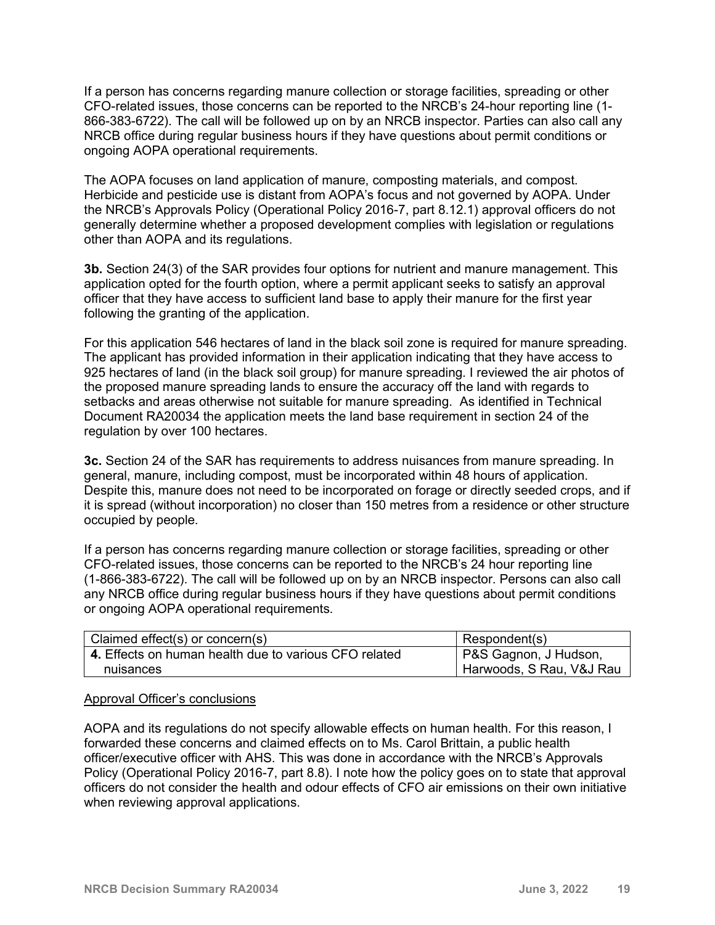If a person has concerns regarding manure collection or storage facilities, spreading or other CFO-related issues, those concerns can be reported to the NRCB's 24-hour reporting line (1- 866-383-6722). The call will be followed up on by an NRCB inspector. Parties can also call any NRCB office during regular business hours if they have questions about permit conditions or ongoing AOPA operational requirements.

The AOPA focuses on land application of manure, composting materials, and compost. Herbicide and pesticide use is distant from AOPA's focus and not governed by AOPA. Under the NRCB's Approvals Policy (Operational Policy 2016-7, part 8.12.1) approval officers do not generally determine whether a proposed development complies with legislation or regulations other than AOPA and its regulations.

**3b.** Section 24(3) of the SAR provides four options for nutrient and manure management. This application opted for the fourth option, where a permit applicant seeks to satisfy an approval officer that they have access to sufficient land base to apply their manure for the first year following the granting of the application.

For this application 546 hectares of land in the black soil zone is required for manure spreading. The applicant has provided information in their application indicating that they have access to 925 hectares of land (in the black soil group) for manure spreading. I reviewed the air photos of the proposed manure spreading lands to ensure the accuracy off the land with regards to setbacks and areas otherwise not suitable for manure spreading. As identified in Technical Document RA20034 the application meets the land base requirement in section 24 of the regulation by over 100 hectares.

**3c.** Section 24 of the SAR has requirements to address nuisances from manure spreading. In general, manure, including compost, must be incorporated within 48 hours of application. Despite this, manure does not need to be incorporated on forage or directly seeded crops, and if it is spread (without incorporation) no closer than 150 metres from a residence or other structure occupied by people.

If a person has concerns regarding manure collection or storage facilities, spreading or other CFO-related issues, those concerns can be reported to the NRCB's 24 hour reporting line (1-866-383-6722). The call will be followed up on by an NRCB inspector. Persons can also call any NRCB office during regular business hours if they have questions about permit conditions or ongoing AOPA operational requirements.

| Claimed effect(s) or concern(s)                       | Respondent(s)            |
|-------------------------------------------------------|--------------------------|
| 4. Effects on human health due to various CFO related | P&S Gagnon, J Hudson,    |
| nuisances                                             | Harwoods, S Rau, V&J Rau |

#### Approval Officer's conclusions

AOPA and its regulations do not specify allowable effects on human health. For this reason, I forwarded these concerns and claimed effects on to Ms. Carol Brittain, a public health officer/executive officer with AHS. This was done in accordance with the NRCB's Approvals Policy (Operational Policy 2016-7, part 8.8). I note how the policy goes on to state that approval officers do not consider the health and odour effects of CFO air emissions on their own initiative when reviewing approval applications.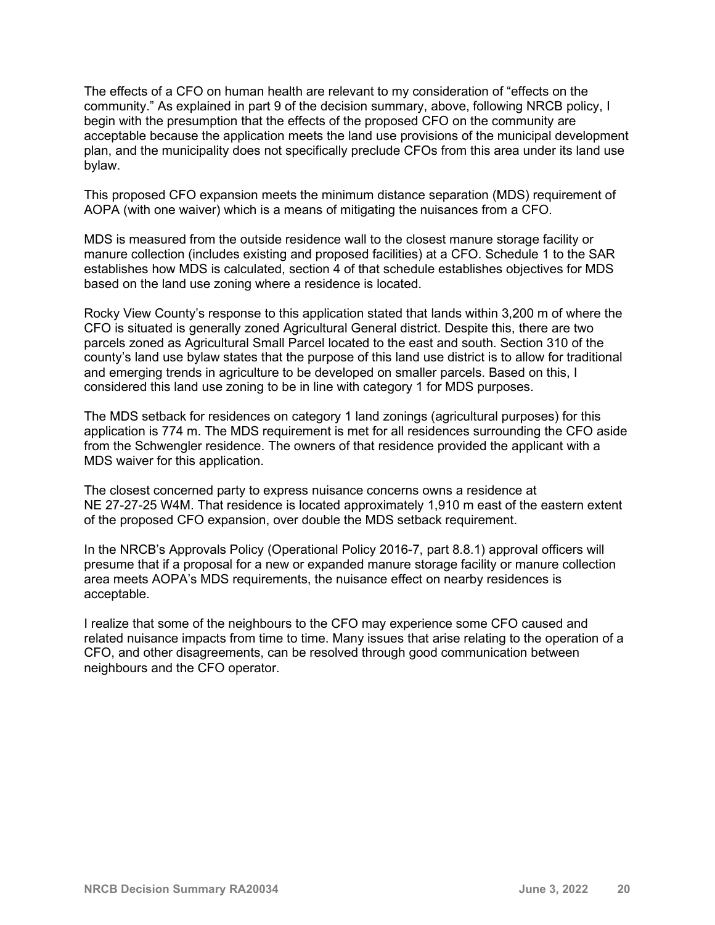The effects of a CFO on human health are relevant to my consideration of "effects on the community." As explained in part 9 of the decision summary, above, following NRCB policy, I begin with the presumption that the effects of the proposed CFO on the community are acceptable because the application meets the land use provisions of the municipal development plan, and the municipality does not specifically preclude CFOs from this area under its land use bylaw.

This proposed CFO expansion meets the minimum distance separation (MDS) requirement of AOPA (with one waiver) which is a means of mitigating the nuisances from a CFO.

MDS is measured from the outside residence wall to the closest manure storage facility or manure collection (includes existing and proposed facilities) at a CFO. Schedule 1 to the SAR establishes how MDS is calculated, section 4 of that schedule establishes objectives for MDS based on the land use zoning where a residence is located.

Rocky View County's response to this application stated that lands within 3,200 m of where the CFO is situated is generally zoned Agricultural General district. Despite this, there are two parcels zoned as Agricultural Small Parcel located to the east and south. Section 310 of the county's land use bylaw states that the purpose of this land use district is to allow for traditional and emerging trends in agriculture to be developed on smaller parcels. Based on this, I considered this land use zoning to be in line with category 1 for MDS purposes.

The MDS setback for residences on category 1 land zonings (agricultural purposes) for this application is 774 m. The MDS requirement is met for all residences surrounding the CFO aside from the Schwengler residence. The owners of that residence provided the applicant with a MDS waiver for this application.

The closest concerned party to express nuisance concerns owns a residence at NE 27-27-25 W4M. That residence is located approximately 1,910 m east of the eastern extent of the proposed CFO expansion, over double the MDS setback requirement.

In the NRCB's Approvals Policy (Operational Policy 2016-7, part 8.8.1) approval officers will presume that if a proposal for a new or expanded manure storage facility or manure collection area meets AOPA's MDS requirements, the nuisance effect on nearby residences is acceptable.

I realize that some of the neighbours to the CFO may experience some CFO caused and related nuisance impacts from time to time. Many issues that arise relating to the operation of a CFO, and other disagreements, can be resolved through good communication between neighbours and the CFO operator.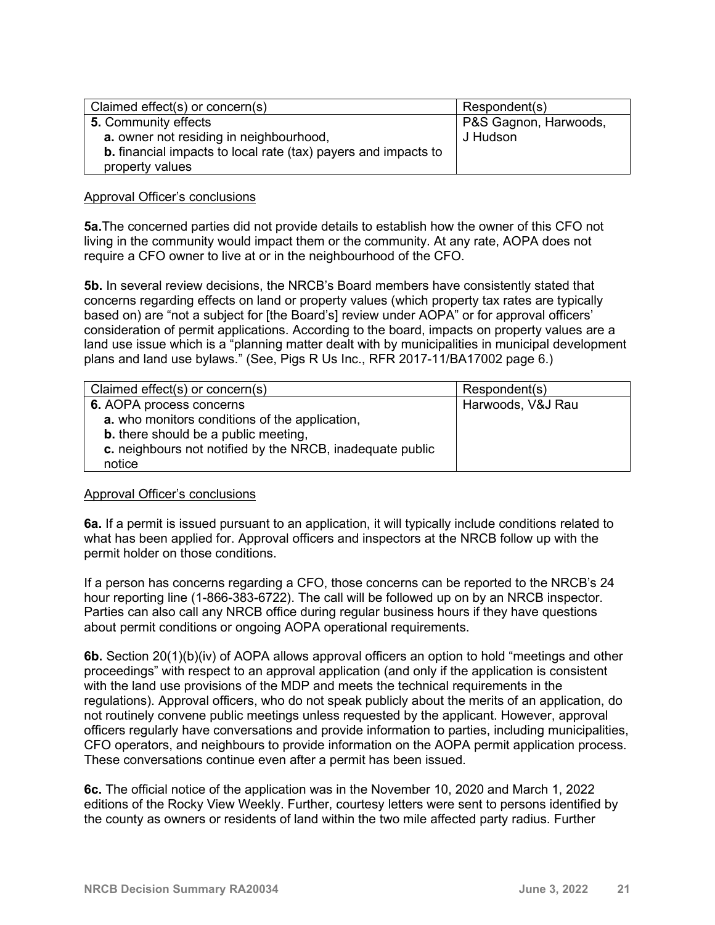| Claimed effect(s) or concern(s)                                       | Respondent(s)         |
|-----------------------------------------------------------------------|-----------------------|
| 5. Community effects                                                  | P&S Gagnon, Harwoods, |
| a. owner not residing in neighbourhood,                               | J Hudson              |
| <b>b.</b> financial impacts to local rate (tax) payers and impacts to |                       |
| property values                                                       |                       |

#### Approval Officer's conclusions

**5a.**The concerned parties did not provide details to establish how the owner of this CFO not living in the community would impact them or the community. At any rate, AOPA does not require a CFO owner to live at or in the neighbourhood of the CFO.

**5b.** In several review decisions, the NRCB's Board members have consistently stated that concerns regarding effects on land or property values (which property tax rates are typically based on) are "not a subject for [the Board's] review under AOPA" or for approval officers' consideration of permit applications. According to the board, impacts on property values are a land use issue which is a "planning matter dealt with by municipalities in municipal development plans and land use bylaws." (See, Pigs R Us Inc., RFR 2017-11/BA17002 page 6.)

| Claimed effect(s) or concern(s)                           | Respondent(s)     |
|-----------------------------------------------------------|-------------------|
| 6. AOPA process concerns                                  | Harwoods, V&J Rau |
| a. who monitors conditions of the application,            |                   |
| <b>b.</b> there should be a public meeting,               |                   |
| c. neighbours not notified by the NRCB, inadequate public |                   |
| notice                                                    |                   |

#### Approval Officer's conclusions

**6a.** If a permit is issued pursuant to an application, it will typically include conditions related to what has been applied for. Approval officers and inspectors at the NRCB follow up with the permit holder on those conditions.

If a person has concerns regarding a CFO, those concerns can be reported to the NRCB's 24 hour reporting line (1-866-383-6722). The call will be followed up on by an NRCB inspector. Parties can also call any NRCB office during regular business hours if they have questions about permit conditions or ongoing AOPA operational requirements.

**6b.** Section 20(1)(b)(iv) of AOPA allows approval officers an option to hold "meetings and other proceedings" with respect to an approval application (and only if the application is consistent with the land use provisions of the MDP and meets the technical requirements in the regulations). Approval officers, who do not speak publicly about the merits of an application, do not routinely convene public meetings unless requested by the applicant. However, approval officers regularly have conversations and provide information to parties, including municipalities, CFO operators, and neighbours to provide information on the AOPA permit application process. These conversations continue even after a permit has been issued.

**6c.** The official notice of the application was in the November 10, 2020 and March 1, 2022 editions of the Rocky View Weekly. Further, courtesy letters were sent to persons identified by the county as owners or residents of land within the two mile affected party radius. Further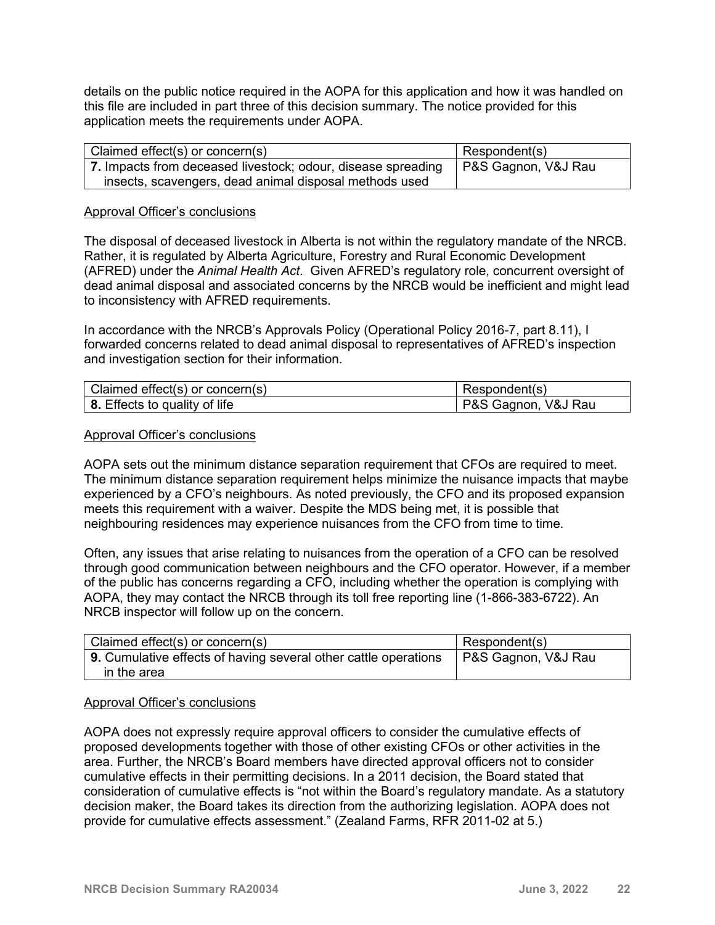details on the public notice required in the AOPA for this application and how it was handled on this file are included in part three of this decision summary. The notice provided for this application meets the requirements under AOPA.

| Claimed effect(s) or concern(s)                              | Respondent(s)       |
|--------------------------------------------------------------|---------------------|
| 7. Impacts from deceased livestock; odour, disease spreading | P&S Gagnon, V&J Rau |
| insects, scavengers, dead animal disposal methods used       |                     |

#### Approval Officer's conclusions

The disposal of deceased livestock in Alberta is not within the regulatory mandate of the NRCB. Rather, it is regulated by Alberta Agriculture, Forestry and Rural Economic Development (AFRED) under the *Animal Health Act*. Given AFRED's regulatory role, concurrent oversight of dead animal disposal and associated concerns by the NRCB would be inefficient and might lead to inconsistency with AFRED requirements.

In accordance with the NRCB's Approvals Policy (Operational Policy 2016-7, part 8.11), I forwarded concerns related to dead animal disposal to representatives of AFRED's inspection and investigation section for their information.

| Claimed effect(s) or concern(s)      | Respondent(s)       |
|--------------------------------------|---------------------|
| <b>8.</b> Effects to quality of life | P&S Gagnon, V&J Rau |

#### Approval Officer's conclusions

AOPA sets out the minimum distance separation requirement that CFOs are required to meet. The minimum distance separation requirement helps minimize the nuisance impacts that maybe experienced by a CFO's neighbours. As noted previously, the CFO and its proposed expansion meets this requirement with a waiver. Despite the MDS being met, it is possible that neighbouring residences may experience nuisances from the CFO from time to time.

Often, any issues that arise relating to nuisances from the operation of a CFO can be resolved through good communication between neighbours and the CFO operator. However, if a member of the public has concerns regarding a CFO, including whether the operation is complying with AOPA, they may contact the NRCB through its toll free reporting line (1-866-383-6722). An NRCB inspector will follow up on the concern.

| Claimed effect(s) or concern(s)                                 | Respondent(s)                    |
|-----------------------------------------------------------------|----------------------------------|
| 9. Cumulative effects of having several other cattle operations | <sup>l</sup> P&S Gagnon, V&J Rau |
| in the area                                                     |                                  |

#### Approval Officer's conclusions

AOPA does not expressly require approval officers to consider the cumulative effects of proposed developments together with those of other existing CFOs or other activities in the area. Further, the NRCB's Board members have directed approval officers not to consider cumulative effects in their permitting decisions. In a 2011 decision, the Board stated that consideration of cumulative effects is "not within the Board's regulatory mandate. As a statutory decision maker, the Board takes its direction from the authorizing legislation. AOPA does not provide for cumulative effects assessment." (Zealand Farms, RFR 2011-02 at 5.)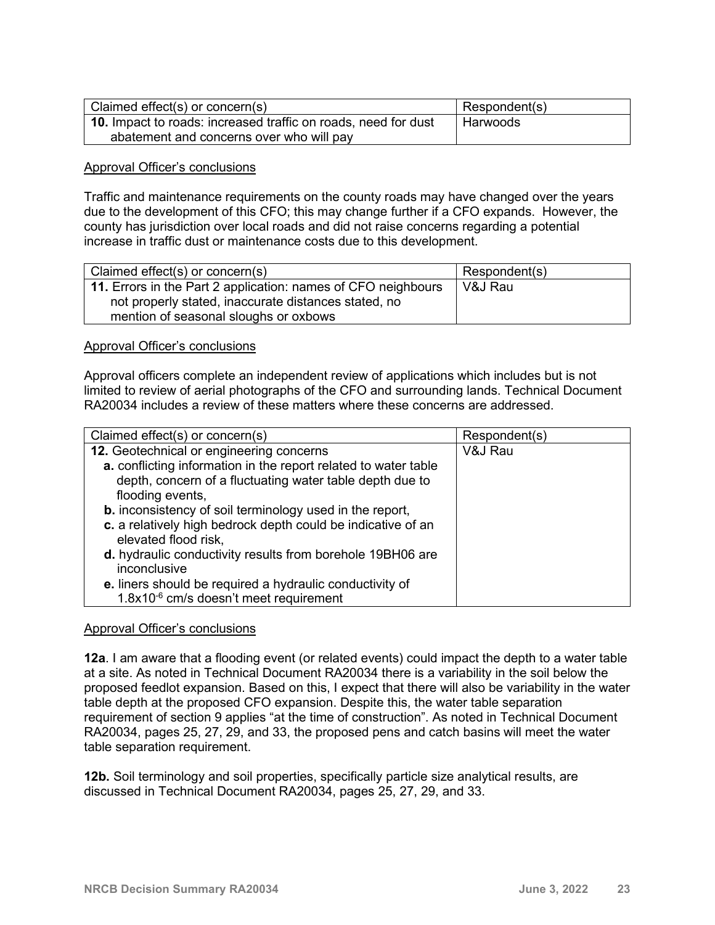| Claimed effect(s) or concern(s)                                       | Respondent(s) |
|-----------------------------------------------------------------------|---------------|
| <b>10.</b> Impact to roads: increased traffic on roads, need for dust | Harwoods      |
| abatement and concerns over who will pay                              |               |

#### Approval Officer's conclusions

Traffic and maintenance requirements on the county roads may have changed over the years due to the development of this CFO; this may change further if a CFO expands. However, the county has jurisdiction over local roads and did not raise concerns regarding a potential increase in traffic dust or maintenance costs due to this development.

| Claimed effect(s) or concern(s)                               | Respondent(s) |
|---------------------------------------------------------------|---------------|
| 11. Errors in the Part 2 application: names of CFO neighbours | V&J Rau       |
| not properly stated, inaccurate distances stated, no          |               |
| mention of seasonal sloughs or oxbows                         |               |

#### Approval Officer's conclusions

Approval officers complete an independent review of applications which includes but is not limited to review of aerial photographs of the CFO and surrounding lands. Technical Document RA20034 includes a review of these matters where these concerns are addressed.

| Claimed effect(s) or concern(s)                                 | Respondent(s) |
|-----------------------------------------------------------------|---------------|
| 12. Geotechnical or engineering concerns                        | V&J Rau       |
| a. conflicting information in the report related to water table |               |
| depth, concern of a fluctuating water table depth due to        |               |
| flooding events,                                                |               |
| <b>b.</b> inconsistency of soil terminology used in the report, |               |
| c. a relatively high bedrock depth could be indicative of an    |               |
| elevated flood risk,                                            |               |
| d. hydraulic conductivity results from borehole 19BH06 are      |               |
| inconclusive                                                    |               |
| e. liners should be required a hydraulic conductivity of        |               |
| 1.8x10 <sup>-6</sup> cm/s doesn't meet requirement              |               |

#### Approval Officer's conclusions

**12a**. I am aware that a flooding event (or related events) could impact the depth to a water table at a site. As noted in Technical Document RA20034 there is a variability in the soil below the proposed feedlot expansion. Based on this, I expect that there will also be variability in the water table depth at the proposed CFO expansion. Despite this, the water table separation requirement of section 9 applies "at the time of construction". As noted in Technical Document RA20034, pages 25, 27, 29, and 33, the proposed pens and catch basins will meet the water table separation requirement.

**12b.** Soil terminology and soil properties, specifically particle size analytical results, are discussed in Technical Document RA20034, pages 25, 27, 29, and 33.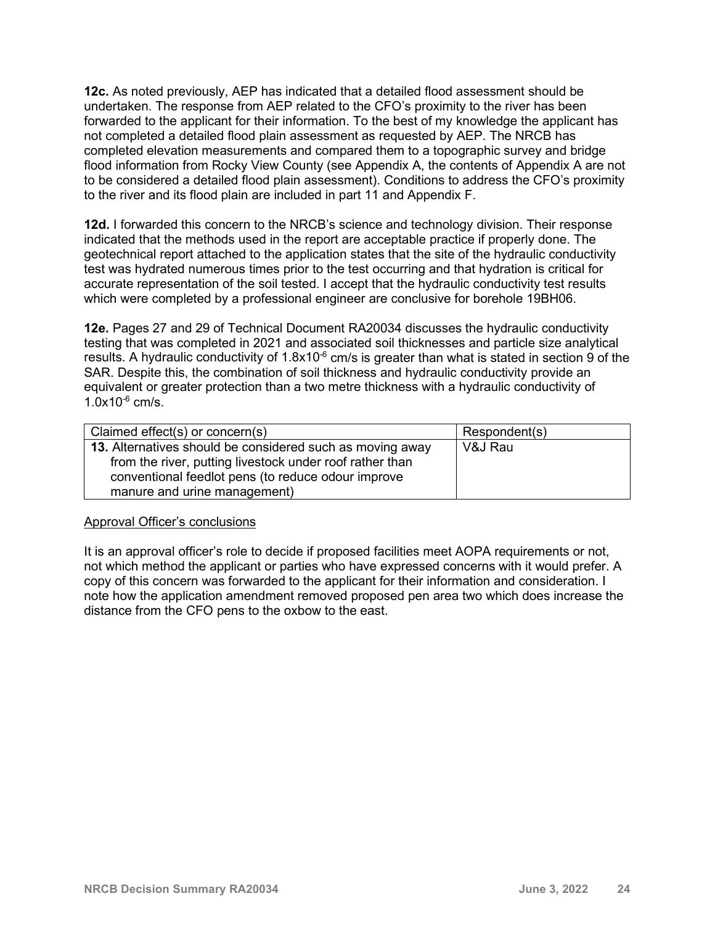**12c.** As noted previously, AEP has indicated that a detailed flood assessment should be undertaken. The response from AEP related to the CFO's proximity to the river has been forwarded to the applicant for their information. To the best of my knowledge the applicant has not completed a detailed flood plain assessment as requested by AEP. The NRCB has completed elevation measurements and compared them to a topographic survey and bridge flood information from Rocky View County (see Appendix A, the contents of Appendix A are not to be considered a detailed flood plain assessment). Conditions to address the CFO's proximity to the river and its flood plain are included in part 11 and Appendix F.

**12d.** I forwarded this concern to the NRCB's science and technology division. Their response indicated that the methods used in the report are acceptable practice if properly done. The geotechnical report attached to the application states that the site of the hydraulic conductivity test was hydrated numerous times prior to the test occurring and that hydration is critical for accurate representation of the soil tested. I accept that the hydraulic conductivity test results which were completed by a professional engineer are conclusive for borehole 19BH06.

**12e.** Pages 27 and 29 of Technical Document RA20034 discusses the hydraulic conductivity testing that was completed in 2021 and associated soil thicknesses and particle size analytical results. A hydraulic conductivity of 1.8x10 $\degree$  cm/s is greater than what is stated in section 9 of the SAR. Despite this, the combination of soil thickness and hydraulic conductivity provide an equivalent or greater protection than a two metre thickness with a hydraulic conductivity of  $1.0x10^{-6}$  cm/s.

| Claimed effect(s) or concern(s)                                                                                                                                                                             | Respondent(s) |
|-------------------------------------------------------------------------------------------------------------------------------------------------------------------------------------------------------------|---------------|
| 13. Alternatives should be considered such as moving away<br>from the river, putting livestock under roof rather than<br>conventional feedlot pens (to reduce odour improve<br>manure and urine management) | V&J Rau       |

#### Approval Officer's conclusions

It is an approval officer's role to decide if proposed facilities meet AOPA requirements or not, not which method the applicant or parties who have expressed concerns with it would prefer. A copy of this concern was forwarded to the applicant for their information and consideration. I note how the application amendment removed proposed pen area two which does increase the distance from the CFO pens to the oxbow to the east.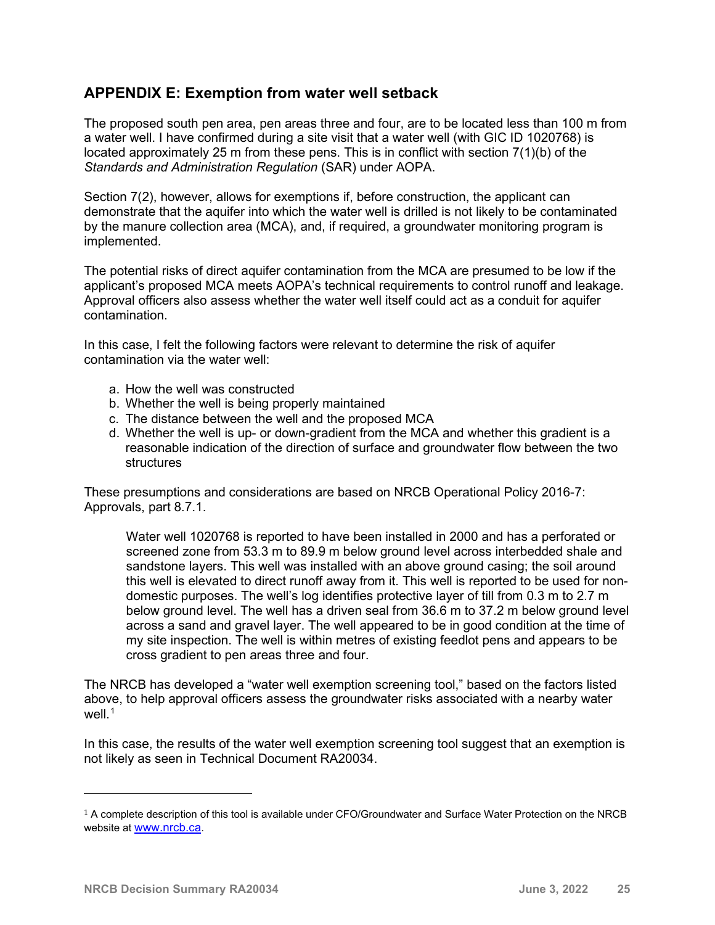## **APPENDIX E: Exemption from water well setback**

The proposed south pen area, pen areas three and four, are to be located less than 100 m from a water well. I have confirmed during a site visit that a water well (with GIC ID 1020768) is located approximately 25 m from these pens. This is in conflict with section 7(1)(b) of the *Standards and Administration Regulation* (SAR) under AOPA.

Section 7(2), however, allows for exemptions if, before construction, the applicant can demonstrate that the aquifer into which the water well is drilled is not likely to be contaminated by the manure collection area (MCA), and, if required, a groundwater monitoring program is implemented.

The potential risks of direct aquifer contamination from the MCA are presumed to be low if the applicant's proposed MCA meets AOPA's technical requirements to control runoff and leakage. Approval officers also assess whether the water well itself could act as a conduit for aquifer contamination.

In this case, I felt the following factors were relevant to determine the risk of aquifer contamination via the water well:

- a. How the well was constructed
- b. Whether the well is being properly maintained
- c. The distance between the well and the proposed MCA
- d. Whether the well is up- or down-gradient from the MCA and whether this gradient is a reasonable indication of the direction of surface and groundwater flow between the two structures

These presumptions and considerations are based on NRCB Operational Policy 2016-7: Approvals, part 8.7.1.

Water well 1020768 is reported to have been installed in 2000 and has a perforated or screened zone from 53.3 m to 89.9 m below ground level across interbedded shale and sandstone layers. This well was installed with an above ground casing; the soil around this well is elevated to direct runoff away from it. This well is reported to be used for nondomestic purposes. The well's log identifies protective layer of till from 0.3 m to 2.7 m below ground level. The well has a driven seal from 36.6 m to 37.2 m below ground level across a sand and gravel layer. The well appeared to be in good condition at the time of my site inspection. The well is within metres of existing feedlot pens and appears to be cross gradient to pen areas three and four.

The NRCB has developed a "water well exemption screening tool," based on the factors listed above, to help approval officers assess the groundwater risks associated with a nearby water  $W$ ell<sup>[1](#page-24-0)</sup>

In this case, the results of the water well exemption screening tool suggest that an exemption is not likely as seen in Technical Document RA20034.

<span id="page-24-0"></span> $1$  A complete description of this tool is available under CFO/Groundwater and Surface Water Protection on the NRCB website at [www.nrcb.ca.](http://www.nrcb.ca/)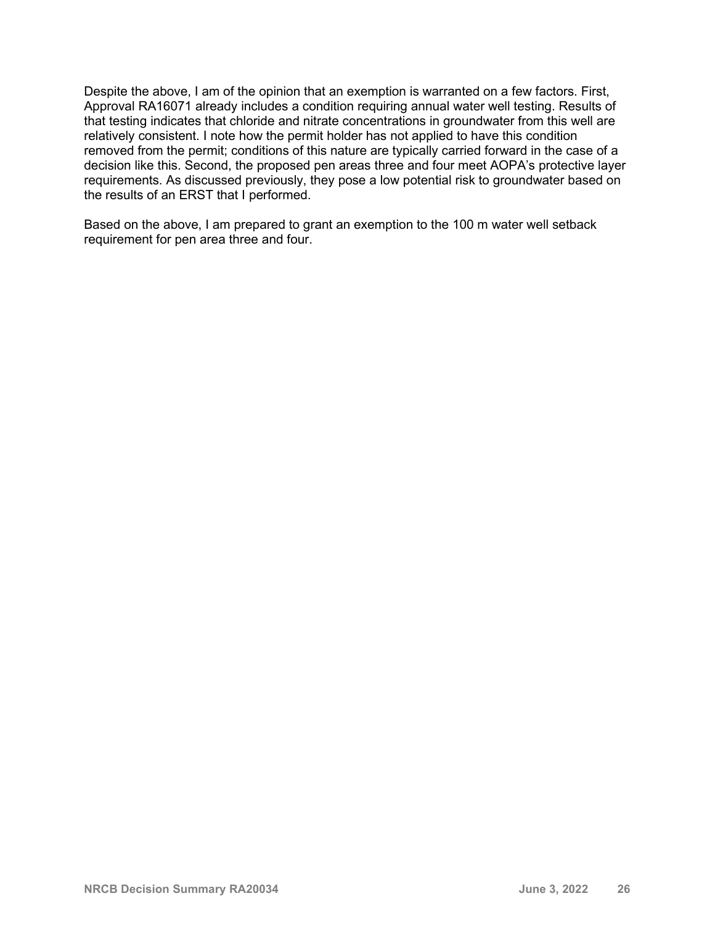Despite the above, I am of the opinion that an exemption is warranted on a few factors. First, Approval RA16071 already includes a condition requiring annual water well testing. Results of that testing indicates that chloride and nitrate concentrations in groundwater from this well are relatively consistent. I note how the permit holder has not applied to have this condition removed from the permit; conditions of this nature are typically carried forward in the case of a decision like this. Second, the proposed pen areas three and four meet AOPA's protective layer requirements. As discussed previously, they pose a low potential risk to groundwater based on the results of an ERST that I performed.

Based on the above, I am prepared to grant an exemption to the 100 m water well setback requirement for pen area three and four.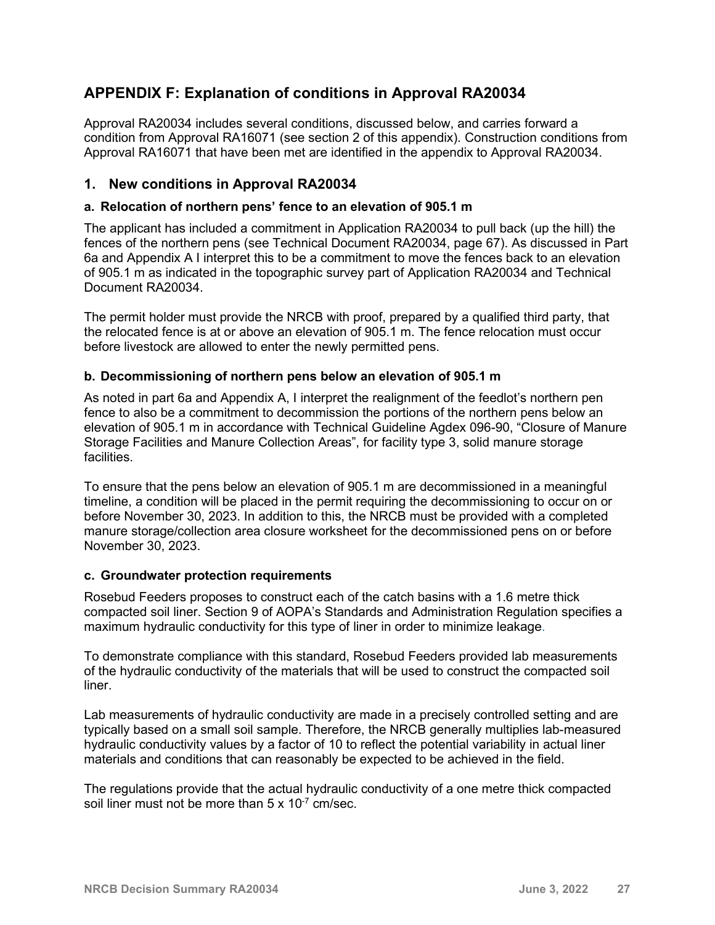# **APPENDIX F: Explanation of conditions in Approval RA20034**

Approval RA20034 includes several conditions, discussed below, and carries forward a condition from Approval RA16071 (see section 2 of this appendix). Construction conditions from Approval RA16071 that have been met are identified in the appendix to Approval RA20034.

### **1. New conditions in Approval RA20034**

#### **a. Relocation of northern pens' fence to an elevation of 905.1 m**

The applicant has included a commitment in Application RA20034 to pull back (up the hill) the fences of the northern pens (see Technical Document RA20034, page 67). As discussed in Part 6a and Appendix A I interpret this to be a commitment to move the fences back to an elevation of 905.1 m as indicated in the topographic survey part of Application RA20034 and Technical Document RA20034.

The permit holder must provide the NRCB with proof, prepared by a qualified third party, that the relocated fence is at or above an elevation of 905.1 m. The fence relocation must occur before livestock are allowed to enter the newly permitted pens.

#### **b. Decommissioning of northern pens below an elevation of 905.1 m**

As noted in part 6a and Appendix A, I interpret the realignment of the feedlot's northern pen fence to also be a commitment to decommission the portions of the northern pens below an elevation of 905.1 m in accordance with Technical Guideline Agdex 096-90, "Closure of Manure Storage Facilities and Manure Collection Areas", for facility type 3, solid manure storage facilities.

To ensure that the pens below an elevation of 905.1 m are decommissioned in a meaningful timeline, a condition will be placed in the permit requiring the decommissioning to occur on or before November 30, 2023. In addition to this, the NRCB must be provided with a completed manure storage/collection area closure worksheet for the decommissioned pens on or before November 30, 2023.

#### **c. Groundwater protection requirements**

Rosebud Feeders proposes to construct each of the catch basins with a 1.6 metre thick compacted soil liner. Section 9 of AOPA's Standards and Administration Regulation specifies a maximum hydraulic conductivity for this type of liner in order to minimize leakage.

To demonstrate compliance with this standard, Rosebud Feeders provided lab measurements of the hydraulic conductivity of the materials that will be used to construct the compacted soil liner.

Lab measurements of hydraulic conductivity are made in a precisely controlled setting and are typically based on a small soil sample. Therefore, the NRCB generally multiplies lab-measured hydraulic conductivity values by a factor of 10 to reflect the potential variability in actual liner materials and conditions that can reasonably be expected to be achieved in the field.

The regulations provide that the actual hydraulic conductivity of a one metre thick compacted soil liner must not be more than  $5 \times 10^{-7}$  cm/sec.